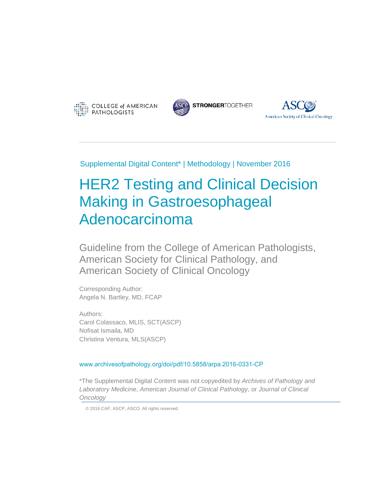





Supplemental Digital Content\* | Methodology | November 2016

# HER2 Testing and Clinical Decision Making in Gastroesophageal Adenocarcinoma

Guideline from the College of American Pathologists, American Society for Clinical Pathology, and American Society of Clinical Oncology

Corresponding Author: Angela N. Bartley, MD, FCAP

Authors: Carol Colassaco, MLIS, SCT(ASCP) Nofisat Ismaila, MD Christina Ventura, MLS(ASCP)

[www.archivesofpathology.org/doi/pdf/10.5858/arpa.2016-0331-CP](http://www.archivesofpathology.org/doi/pdf/10.5858/arpa.2016-0331-CP)

\*The Supplemental Digital Content was not copyedited by *Archives of Pathology and Laboratory Medicine*, *American Journal of Clinical Pathology*, or *Journal of Clinical Oncology*

© 2016 CAP, ASCP, ASCO. All rights reserved.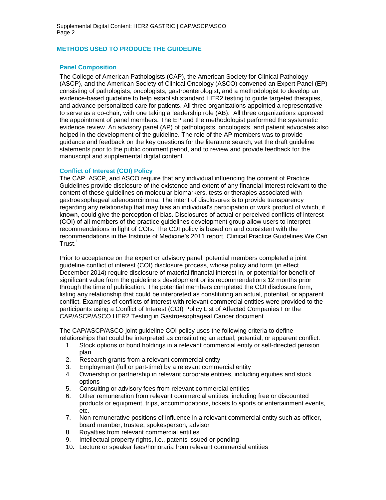## **METHODS USED TO PRODUCE THE GUIDELINE**

#### **Panel Composition**

The College of American Pathologists (CAP), the American Society for Clinical Pathology (ASCP), and the American Society of Clinical Oncology (ASCO) convened an Expert Panel (EP) consisting of pathologists, oncologists, gastroenterologist, and a methodologist to develop an evidence-based guideline to help establish standard HER2 testing to guide targeted therapies, and advance personalized care for patients. All three organizations appointed a representative to serve as a co-chair, with one taking a leadership role (AB). All three organizations approved the appointment of panel members. The EP and the methodologist performed the systematic evidence review. An advisory panel (AP) of pathologists, oncologists, and patient advocates also helped in the development of the guideline. The role of the AP members was to provide guidance and feedback on the key questions for the literature search, vet the draft guideline statements prior to the public comment period, and to review and provide feedback for the manuscript and supplemental digital content.

#### **Conflict of Interest (COI) Policy**

The CAP, ASCP, and ASCO require that any individual influencing the content of Practice Guidelines provide disclosure of the existence and extent of any financial interest relevant to the content of these guidelines on molecular biomarkers, tests or therapies associated with gastroesophageal adenocarcinoma. The intent of disclosures is to provide transparency regarding any relationship that may bias an individual's participation or work product of which, if known, could give the perception of bias. Disclosures of actual or perceived conflicts of interest (COI) of all members of the practice guidelines development group allow users to interpret recommendations in light of COIs. The COI policy is based on and consistent with the recommendations in the Institute of Medicine's 2011 report, Clinical Practice Guidelines We Can Trust.<sup>1</sup>

Prior to acceptance on the expert or advisory panel, potential members completed a joint guideline conflict of interest (COI) disclosure process, whose policy and form (in effect December 2014) require disclosure of material financial interest in, or potential for benefit of significant value from the guideline's development or its recommendations 12 months prior through the time of publication. The potential members completed the COI disclosure form, listing any relationship that could be interpreted as constituting an actual, potential, or apparent conflict. Examples of conflicts of interest with relevant commercial entities were provided to the participants using a Conflict of Interest (COI) Policy List of Affected Companies For the CAP/ASCP/ASCO HER2 Testing in Gastroesophageal Cancer document.

The CAP/ASCP/ASCO joint guideline COI policy uses the following criteria to define relationships that could be interpreted as constituting an actual, potential, or apparent conflict:

- 1. Stock options or bond holdings in a relevant commercial entity or self-directed pension plan
- 2. Research grants from a relevant commercial entity
- 3. Employment (full or part-time) by a relevant commercial entity
- 4. Ownership or partnership in relevant corporate entities, including equities and stock options
- 5. Consulting or advisory fees from relevant commercial entities
- 6. Other remuneration from relevant commercial entities, including free or discounted products or equipment, trips, accommodations, tickets to sports or entertainment events, etc.
- 7. Non-remunerative positions of influence in a relevant commercial entity such as officer, board member, trustee, spokesperson, advisor
- 8. Royalties from relevant commercial entities
- 9. Intellectual property rights, i.e., patents issued or pending
- 10. Lecture or speaker fees/honoraria from relevant commercial entities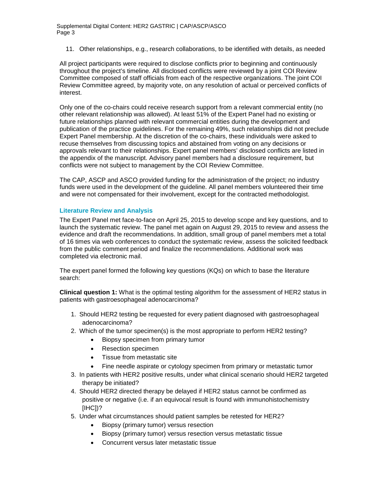11. Other relationships, e.g., research collaborations, to be identified with details, as needed

All project participants were required to disclose conflicts prior to beginning and continuously throughout the project's timeline. All disclosed conflicts were reviewed by a joint COI Review Committee composed of staff officials from each of the respective organizations. The joint COI Review Committee agreed, by majority vote, on any resolution of actual or perceived conflicts of interest.

Only one of the co-chairs could receive research support from a relevant commercial entity (no other relevant relationship was allowed). At least 51% of the Expert Panel had no existing or future relationships planned with relevant commercial entities during the development and publication of the practice guidelines. For the remaining 49%, such relationships did not preclude Expert Panel membership. At the discretion of the co-chairs, these individuals were asked to recuse themselves from discussing topics and abstained from voting on any decisions or approvals relevant to their relationships. Expert panel members' disclosed conflicts are listed in the appendix of the manuscript. Advisory panel members had a disclosure requirement, but conflicts were not subject to management by the COI Review Committee.

The CAP, ASCP and ASCO provided funding for the administration of the project; no industry funds were used in the development of the guideline. All panel members volunteered their time and were not compensated for their involvement, except for the contracted methodologist.

#### **Literature Review and Analysis**

The Expert Panel met face-to-face on April 25, 2015 to develop scope and key questions, and to launch the systematic review. The panel met again on August 29, 2015 to review and assess the evidence and draft the recommendations. In addition, small group of panel members met a total of 16 times via web conferences to conduct the systematic review, assess the solicited feedback from the public comment period and finalize the recommendations. Additional work was completed via electronic mail.

The expert panel formed the following key questions (KQs) on which to base the literature search:

**Clinical question 1:** What is the optimal testing algorithm for the assessment of HER2 status in patients with gastroesophageal adenocarcinoma?

- 1. Should HER2 testing be requested for every patient diagnosed with gastroesophageal adenocarcinoma?
- 2. Which of the tumor specimen(s) is the most appropriate to perform HER2 testing?
	- Biopsy specimen from primary tumor
	- Resection specimen
	- Tissue from metastatic site
	- Fine needle aspirate or cytology specimen from primary or metastatic tumor
- 3. In patients with HER2 positive results, under what clinical scenario should HER2 targeted therapy be initiated?
- 4. Should HER2 directed therapy be delayed if HER2 status cannot be confirmed as positive or negative (i.e. if an equivocal result is found with immunohistochemistry [IHC])?
- 5. Under what circumstances should patient samples be retested for HER2?
	- Biopsy (primary tumor) versus resection
	- Biopsy (primary tumor) versus resection versus metastatic tissue
	- Concurrent versus later metastatic tissue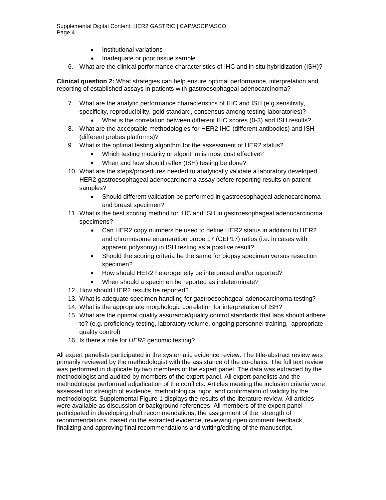- Institutional variations
- Inadequate or poor tissue sample
- 6. What are the clinical performance characteristics of IHC and in situ hybridization (ISH)?

**Clinical question 2:** What strategies can help ensure optimal performance, interpretation and reporting of established assays in patients with gastroesophageal adenocarcinoma?

- 7. What are the analytic performance characteristics of IHC and ISH (e.g.sensitivity, specificity, reproducibility, gold standard, consensus among testing laboratories)?
	- What is the correlation between different IHC scores (0-3) and ISH results?
- 8. What are the acceptable methodologies for HER2 IHC (different antibodies) and ISH (different probes platforms)?
- 9. What is the optimal testing algorithm for the assessment of HER2 status?
	- Which testing modality or algorithm is most cost effective?
	- When and how should reflex (ISH) testing be done?
- 10. What are the steps/procedures needed to analytically validate a laboratory developed HER2 gastroesophageal adenocarcinoma assay before reporting results on patient samples?
	- Should different validation be performed in gastroesophageal adenocarcinoma and breast specimen?
- 11. What is the best scoring method for IHC and ISH in gastroesophageal adenocarcinoma specimens?
	- Can HER2 copy numbers be used to define HER2 status in addition to HER2 and chromosome enumeration probe 17 (CEP17) ratios (i.e. in cases with apparent polysomy) in ISH testing as a positive result?
	- Should the scoring criteria be the same for biopsy specimen versus resection specimen?
	- How should HER2 heterogeneity be interpreted and/or reported?
	- When should a specimen be reported as indeterminate?
- 12. How should HER2 results be reported?
- 13. What is adequate specimen handling for gastroesophageal adenocarcinoma testing?
- 14. What is the appropriate morphologic correlation for interpretation of ISH?
- 15. What are the optimal quality assurance/quality control standards that labs should adhere to? (e.g. proficiency testing, laboratory volume, ongoing personnel training, appropriate quality control)
- 16. Is there a role for *HER2* genomic testing?

All expert panelists participated in the systematic evidence review. The title-abstract review was primarily reviewed by the methodologist with the assistance of the co-chairs. The full text review was performed in duplicate by two members of the expert panel. The data was extracted by the methodologist and audited by members of the expert panel. All expert panelists and the methodologist performed adjudication of the conflicts. Articles meeting the inclusion criteria were assessed for strength of evidence, methodological rigor, and confirmation of validity by the methodologist. Supplemental Figure 1 displays the results of the literature review. All articles were available as discussion or background references. All members of the expert panel participated in developing draft recommendations, the assignment of the strength of recommendations based on the extracted evidence, reviewing open comment feedback, finalizing and approving final recommendations and writing/editing of the manuscript.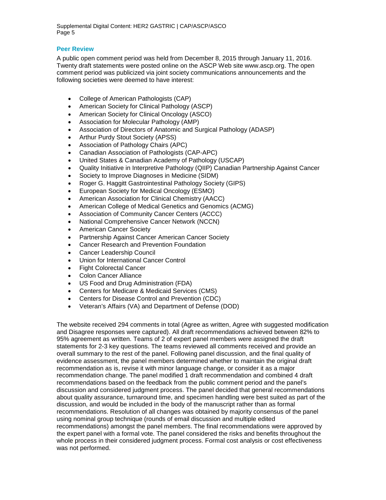# **Peer Review**

A public open comment period was held from December 8, 2015 through January 11, 2016. Twenty draft statements were posted online on the ASCP Web site www.ascp.org. The open comment period was publicized via joint society communications announcements and the following societies were deemed to have interest:

- College of American Pathologists (CAP)
- American Society for Clinical Pathology (ASCP)
- American Society for Clinical Oncology (ASCO)
- Association for Molecular Pathology (AMP)
- Association of Directors of Anatomic and Surgical Pathology (ADASP)
- Arthur Purdy Stout Society (APSS)
- Association of Pathology Chairs (APC)
- Canadian Association of Pathologists (CAP-APC)
- United States & Canadian Academy of Pathology (USCAP)
- Quality Initiative in Interpretive Pathology (QIIP) Canadian Partnership Against Cancer
- Society to Improve Diagnoses in Medicine (SIDM)
- Roger G. Haggitt Gastrointestinal Pathology Society (GIPS)
- European Society for Medical Oncology (ESMO)
- American Association for Clinical Chemistry (AACC)
- American College of Medical Genetics and Genomics (ACMG)
- Association of Community Cancer Centers (ACCC)
- National Comprehensive Cancer Network (NCCN)
- American Cancer Society
- Partnership Against Cancer American Cancer Society
- Cancer Research and Prevention Foundation
- Cancer Leadership Council
- Union for International Cancer Control
- Fight Colorectal Cancer
- Colon Cancer Alliance
- US Food and Drug Administration (FDA)
- Centers for Medicare & Medicaid Services (CMS)
- Centers for Disease Control and Prevention (CDC)
- Veteran's Affairs (VA) and Department of Defense (DOD)

The website received 294 comments in total (Agree as written, Agree with suggested modification and Disagree responses were captured). All draft recommendations achieved between 82% to 95% agreement as written. Teams of 2 of expert panel members were assigned the draft statements for 2-3 key questions. The teams reviewed all comments received and provide an overall summary to the rest of the panel. Following panel discussion, and the final quality of evidence assessment, the panel members determined whether to maintain the original draft recommendation as is, revise it with minor language change, or consider it as a major recommendation change. The panel modified 1 draft recommendation and combined 4 draft recommendations based on the feedback from the public comment period and the panel's discussion and considered judgment process. The panel decided that general recommendations about quality assurance, turnaround time, and specimen handling were best suited as part of the discussion, and would be included in the body of the manuscript rather than as formal recommendations. Resolution of all changes was obtained by majority consensus of the panel using nominal group technique (rounds of email discussion and multiple edited recommendations) amongst the panel members. The final recommendations were approved by the expert panel with a formal vote. The panel considered the risks and benefits throughout the whole process in their considered judgment process. Formal cost analysis or cost effectiveness was not performed.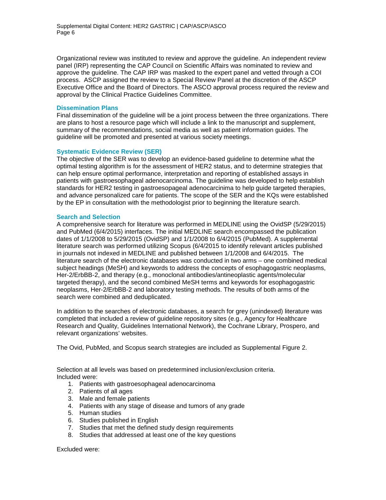Organizational review was instituted to review and approve the guideline. An independent review panel (IRP) representing the CAP Council on Scientific Affairs was nominated to review and approve the guideline. The CAP IRP was masked to the expert panel and vetted through a COI process. ASCP assigned the review to a Special Review Panel at the discretion of the ASCP Executive Office and the Board of Directors. The ASCO approval process required the review and approval by the Clinical Practice Guidelines Committee.

#### **Dissemination Plans**

Final dissemination of the guideline will be a joint process between the three organizations. There are plans to host a resource page which will include a link to the manuscript and supplement, summary of the recommendations, social media as well as patient information guides. The guideline will be promoted and presented at various society meetings.

## **Systematic Evidence Review (SER)**

The objective of the SER was to develop an evidence-based guideline to determine what the optimal testing algorithm is for the assessment of HER2 status, and to determine strategies that can help ensure optimal performance, interpretation and reporting of established assays in patients with gastroesophageal adenocarcinoma. The guideline was developed to help establish standards for HER2 testing in gastroesopageal adenocarcinima to help guide targeted therapies, and advance personalized care for patients. The scope of the SER and the KQs were established by the EP in consultation with the methodologist prior to beginning the literature search.

## **Search and Selection**

A comprehensive search for literature was performed in MEDLINE using the OvidSP (5/29/2015) and PubMed (6/4/2015) interfaces. The initial MEDLINE search encompassed the publication dates of 1/1/2008 to 5/29/2015 (OvidSP) and 1/1/2008 to 6/4/2015 (PubMed). A supplemental literature search was performed utilizing Scopus (6/4/2015 to identify relevant articles published in journals not indexed in MEDLINE and published between 1/1/2008 and 6/4/2015. The literature search of the electronic databases was conducted in two arms – one combined medical subject headings (MeSH) and keywords to address the concepts of esophagogastric neoplasms, Her-2/ErbBB-2, and therapy (e.g., monoclonal antibodies/antineoplastic agents/molecular targeted therapy), and the second combined MeSH terms and keywords for esophagogastric neoplasms, Her-2/ErbBB-2 and laboratory testing methods. The results of both arms of the search were combined and deduplicated.

In addition to the searches of electronic databases, a search for grey (unindexed) literature was completed that included a review of guideline repository sites (e.g., Agency for Healthcare Research and Quality, Guidelines International Network), the Cochrane Library, Prospero, and relevant organizations' websites.

The Ovid, PubMed, and Scopus search strategies are included as Supplemental Figure 2.

Selection at all levels was based on predetermined inclusion/exclusion criteria. Included were:

- 1. Patients with gastroesophageal adenocarcinoma
- 2. Patients of all ages
- 3. Male and female patients
- 4. Patients with any stage of disease and tumors of any grade
- 5. Human studies
- 6. Studies published in English
- 7. Studies that met the defined study design requirements
- 8. Studies that addressed at least one of the key questions

Excluded were: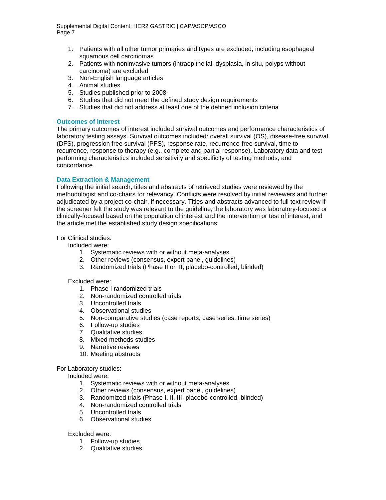- 1. Patients with all other tumor primaries and types are excluded, including esophageal squamous cell carcinomas
- 2. Patients with noninvasive tumors (intraepithelial, dysplasia, in situ, polyps without carcinoma) are excluded
- 3. Non-English language articles
- 4. Animal studies
- 5. Studies published prior to 2008
- 6. Studies that did not meet the defined study design requirements
- 7. Studies that did not address at least one of the defined inclusion criteria

#### **Outcomes of Interest**

The primary outcomes of interest included survival outcomes and performance characteristics of laboratory testing assays. Survival outcomes included: overall survival (OS), disease-free survival (DFS), progression free survival (PFS), response rate, recurrence-free survival, time to recurrence, response to therapy (e.g., complete and partial response). Laboratory data and test performing characteristics included sensitivity and specificity of testing methods, and concordance.

## **Data Extraction & Management**

Following the initial search, titles and abstracts of retrieved studies were reviewed by the methodologist and co-chairs for relevancy. Conflicts were resolved by initial reviewers and further adjudicated by a project co-chair, if necessary. Titles and abstracts advanced to full text review if the screener felt the study was relevant to the guideline, the laboratory was laboratory-focused or clinically-focused based on the population of interest and the intervention or test of interest, and the article met the established study design specifications:

#### For Clinical studies:

Included were:

- 1. Systematic reviews with or without meta-analyses
- 2. Other reviews (consensus, expert panel, guidelines)
- 3. Randomized trials (Phase II or III, placebo-controlled, blinded)

#### Excluded were:

- 1. Phase I randomized trials
- 2. Non-randomized controlled trials
- 3. Uncontrolled trials
- 4. Observational studies
- 5. Non-comparative studies (case reports, case series, time series)
- 6. Follow-up studies
- 7. Qualitative studies
- 8. Mixed methods studies
- 9. Narrative reviews
- 10. Meeting abstracts

#### For Laboratory studies:

Included were:

- 1. Systematic reviews with or without meta-analyses
- 2. Other reviews (consensus, expert panel, guidelines)
- 3. Randomized trials (Phase I, II, III, placebo-controlled, blinded)
- 4. Non-randomized controlled trials
- 5. Uncontrolled trials
- 6. Observational studies

#### Excluded were:

- 1. Follow-up studies
- 2. Qualitative studies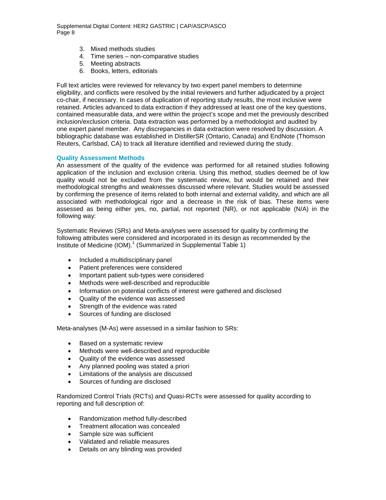- 3. Mixed methods studies
- 4. Time series non-comparative studies
- 5. Meeting abstracts
- 6. Books, letters, editorials

Full text articles were reviewed for relevancy by two expert panel members to determine eligibility, and conflicts were resolved by the initial reviewers and further adjudicated by a project co-chair, if necessary. In cases of duplication of reporting study results, the most inclusive were retained. Articles advanced to data extraction if they addressed at least one of the key questions, contained measurable data, and were within the project's scope and met the previously described inclusion/exclusion criteria. Data extraction was performed by a methodologist and audited by one expert panel member. Any discrepancies in data extraction were resolved by discussion. A bibliographic database was established in DistillerSR (Ontario, Canada) and EndNote (Thomson Reuters, Carlsbad, CA) to track all literature identified and reviewed during the study.

#### **Quality Assessment Methods**

An assessment of the quality of the evidence was performed for all retained studies following application of the inclusion and exclusion criteria. Using this method, studies deemed be of low quality would not be excluded from the systematic review, but would be retained and their methodological strengths and weaknesses discussed where relevant. Studies would be assessed by confirming the presence of items related to both internal and external validity, and which are all associated with methodological rigor and a decrease in the risk of bias. These items were assessed as being either yes, no, partial, not reported (NR), or not applicable (N/A) in the following way:

Systematic Reviews (SRs) and Meta-analyses were assessed for quality by confirming the following attributes were considered and incorporated in its design as recommended by the Institute of Medicine  $(IOM)_1^1$  (Summarized in Supplemental Table 1)

- Included a multidisciplinary panel
- Patient preferences were considered
- Important patient sub-types were considered
- Methods were well-described and reproducible
- Information on potential conflicts of interest were gathered and disclosed
- Quality of the evidence was assessed
- Strength of the evidence was rated
- Sources of funding are disclosed

Meta-analyses (M-As) were assessed in a similar fashion to SRs:

- Based on a systematic review
- Methods were well-described and reproducible
- Quality of the evidence was assessed
- Any planned pooling was stated a priori
- Limitations of the analysis are discussed
- Sources of funding are disclosed

Randomized Control Trials (RCTs) and Quasi-RCTs were assessed for quality according to reporting and full description of:

- Randomization method fully-described
- Treatment allocation was concealed
- Sample size was sufficient
- Validated and reliable measures
- Details on any blinding was provided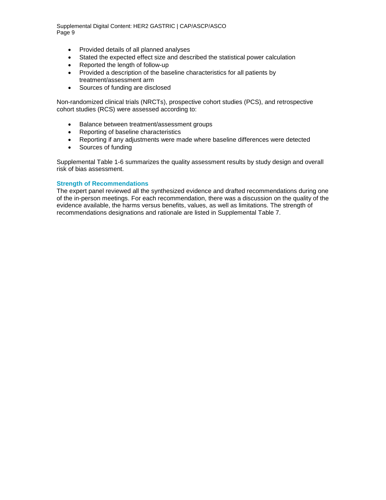- Provided details of all planned analyses
- Stated the expected effect size and described the statistical power calculation
- Reported the length of follow-up
- Provided a description of the baseline characteristics for all patients by treatment/assessment arm
- Sources of funding are disclosed

Non-randomized clinical trials (NRCTs), prospective cohort studies (PCS), and retrospective cohort studies (RCS) were assessed according to:

- Balance between treatment/assessment groups
- Reporting of baseline characteristics
- Reporting if any adjustments were made where baseline differences were detected
- Sources of funding

Supplemental Table 1-6 summarizes the quality assessment results by study design and overall risk of bias assessment.

#### **Strength of Recommendations**

The expert panel reviewed all the synthesized evidence and drafted recommendations during one of the in-person meetings. For each recommendation, there was a discussion on the quality of the evidence available, the harms versus benefits, values, as well as limitations. The strength of recommendations designations and rationale are listed in Supplemental Table 7.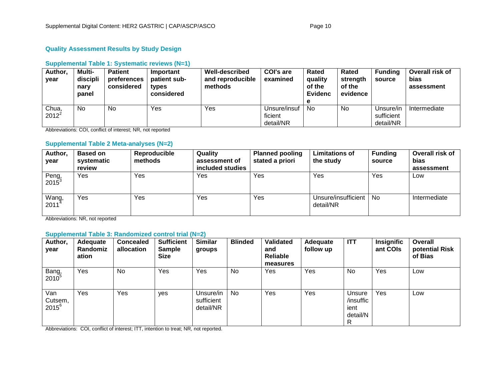# **Quality Assessment Results by Study Design**

# **Supplemental Table 1: Systematic reviews (N=1)**

| Author,<br>year   | Multi-<br>discipli<br>nary<br>panel | <b>Patient</b><br>preferences<br>considered | Important<br>patient sub-<br>types<br>considered | <b>Well-described</b><br>and reproducible<br>methods | <b>COI's are</b><br>examined         | Rated<br>quality<br>of the<br><b>Evidenc</b><br>е | Rated<br>strength<br>of the<br>evidence | <b>Funding</b><br>source             | Overall risk of<br>bias<br>assessment |
|-------------------|-------------------------------------|---------------------------------------------|--------------------------------------------------|------------------------------------------------------|--------------------------------------|---------------------------------------------------|-----------------------------------------|--------------------------------------|---------------------------------------|
| Chua,<br>$2012^2$ | No                                  | No                                          | Yes                                              | Yes                                                  | Unsure/insuf<br>ficient<br>detail/NR | No                                                | No                                      | Unsure/in<br>sufficient<br>detail/NR | Intermediate                          |

Abbreviations: COI, conflict of interest; NR, not reported

# **Supplemental Table 2 Meta-analyses (N=2)**

| Author,<br>year            | <b>Based on</b><br>systematic<br>review | Reproducible<br>methods | Quality<br>assessment of<br>included studies | <b>Planned pooling</b><br>stated a priori | <b>Limitations of</b><br>the study | <b>Funding</b><br>source | Overall risk of<br>bias<br>assessment |
|----------------------------|-----------------------------------------|-------------------------|----------------------------------------------|-------------------------------------------|------------------------------------|--------------------------|---------------------------------------|
| Peng,<br>$2015^3$          | Yes                                     | Yes                     | Yes                                          | Yes                                       | Yes                                | Yes                      | Low                                   |
| Wang,<br>2011 <sup>4</sup> | Yes                                     | Yes                     | Yes                                          | Yes                                       | Unsure/insufficient<br>detail/NR   | <b>No</b>                | Intermediate                          |

Abbreviations: NR, not reported

# **Supplemental Table 3: Randomized control trial (N=2)**

| Author,<br>year              | Adequate<br><b>Randomiz</b><br>ation | <b>Concealed</b><br>allocation | <b>Sufficient</b><br><b>Sample</b><br><b>Size</b> | <b>Similar</b><br>groups             | <b>Blinded</b> | Validated<br>and<br>Reliable<br>measures | Adequate<br>follow up | <b>ITT</b>                                   | <b>Insignific</b><br>ant COIs | <b>Overall</b><br>potential Risk<br>of Bias |
|------------------------------|--------------------------------------|--------------------------------|---------------------------------------------------|--------------------------------------|----------------|------------------------------------------|-----------------------|----------------------------------------------|-------------------------------|---------------------------------------------|
| Bang,<br>$2010^5$            | Yes                                  | No.                            | Yes                                               | Yes                                  | <b>No</b>      | Yes                                      | Yes                   | No                                           | Yes                           | Low                                         |
| Van<br>Cutsem,<br>$2015^{6}$ | Yes                                  | Yes                            | yes                                               | Unsure/in<br>sufficient<br>detail/NR | <b>No</b>      | Yes                                      | Yes                   | Unsure<br>/insuffic<br>ient<br>detail/N<br>R | Yes                           | Low                                         |

Abbreviations: COI, conflict of interest; ITT, intention to treat; NR, not reported.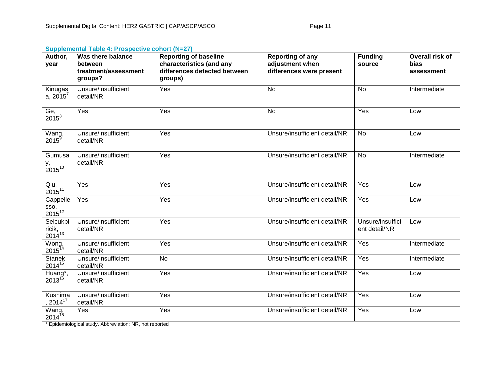| <b>Supplemental Table 4: Prospective cohort (N=27)</b> |  |  |  |  |
|--------------------------------------------------------|--|--|--|--|
|--------------------------------------------------------|--|--|--|--|

| Author,<br>year                            | Was there balance<br>between<br>treatment/assessment<br>groups? | <b>Reporting of baseline</b><br>characteristics (and any<br>differences detected between<br>groups) | <b>Reporting of any</b><br>adjustment when<br>differences were present | <b>Funding</b><br>source          | Overall risk of<br>bias<br>assessment |
|--------------------------------------------|-----------------------------------------------------------------|-----------------------------------------------------------------------------------------------------|------------------------------------------------------------------------|-----------------------------------|---------------------------------------|
| Kinugas<br>a, $2015^7$                     | Unsure/insufficient<br>detail/NR                                | Yes                                                                                                 | <b>No</b>                                                              | <b>No</b>                         | Intermediate                          |
| Ge,<br>$2015^8$                            | Yes                                                             | Yes                                                                                                 | <b>No</b>                                                              | Yes                               | Low                                   |
| Wang,<br>2015 <sup>9</sup>                 | Unsure/insufficient<br>detail/NR                                | Yes                                                                                                 | Unsure/insufficient detail/NR                                          | <b>No</b>                         | Low                                   |
| Gumusa<br>у,<br>$2015^{10}$                | Unsure/insufficient<br>detail/NR                                | Yes                                                                                                 | Unsure/insufficient detail/NR                                          | <b>No</b>                         | Intermediate                          |
| Qiu,<br>$2015^{11}$                        | Yes                                                             | Yes                                                                                                 | Unsure/insufficient detail/NR                                          | Yes                               | Low                                   |
| Cappelle<br>sso,<br>2015 <sup>12</sup>     | Yes                                                             | Yes                                                                                                 | Unsure/insufficient detail/NR                                          | Yes                               | Low                                   |
| Selcukbi<br>ricik,<br>$2014^{13}$          | Unsure/insufficient<br>detail/NR                                | Yes                                                                                                 | Unsure/insufficient detail/NR                                          | Unsure/insuffici<br>ent detail/NR | Low                                   |
| Wong,<br>2015 <sup>14</sup>                | Unsure/insufficient<br>detail/NR                                | Yes                                                                                                 | Unsure/insufficient detail/NR                                          | Yes                               | Intermediate                          |
| Stanek,<br>2014 <sup>15</sup>              | Unsure/insufficient<br>detail/NR                                | <b>No</b>                                                                                           | Unsure/insufficient detail/NR                                          | Yes                               | Intermediate                          |
| Huang <sup>*</sup> ,<br>2013 <sup>16</sup> | Unsure/insufficient<br>detail/NR                                | Yes                                                                                                 | Unsure/insufficient detail/NR                                          | Yes                               | Low                                   |
| Kushima<br>$2014^{17}$                     | Unsure/insufficient<br>detail/NR                                | Yes                                                                                                 | Unsure/insufficient detail/NR                                          | Yes                               | Low                                   |
| Wang,<br>$2014^{18}$                       | Yes                                                             | Yes                                                                                                 | Unsure/insufficient detail/NR                                          | Yes                               | Low                                   |

\* Epidemiological study. Abbreviation: NR, not reported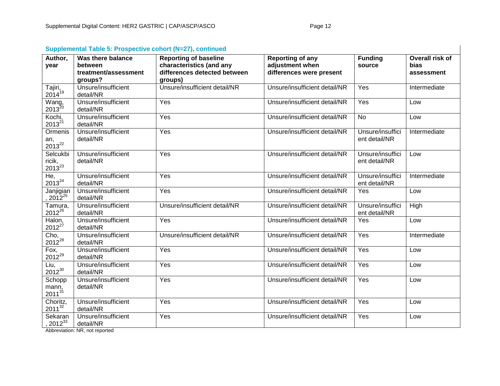| Supplemental Table 5: Prospective cohort (N=27), continued |                                                                 |                                                                                                     |                                                                        |                                   |                                       |  |  |  |
|------------------------------------------------------------|-----------------------------------------------------------------|-----------------------------------------------------------------------------------------------------|------------------------------------------------------------------------|-----------------------------------|---------------------------------------|--|--|--|
| Author,<br>year                                            | Was there balance<br>between<br>treatment/assessment<br>groups? | <b>Reporting of baseline</b><br>characteristics (and any<br>differences detected between<br>groups) | <b>Reporting of any</b><br>adjustment when<br>differences were present | <b>Funding</b><br>source          | Overall risk of<br>bias<br>assessment |  |  |  |
| Tajiri,<br>2014 <sup>19</sup>                              | Unsure/insufficient<br>detail/NR                                | Unsure/insufficient detail/NR                                                                       | Unsure/insufficient detail/NR                                          | Yes                               | Intermediate                          |  |  |  |
| Wang,<br>2013 <sup>20</sup>                                | Unsure/insufficient<br>detail/NR                                | Yes                                                                                                 | Unsure/insufficient detail/NR                                          | Yes                               | Low                                   |  |  |  |
| Kochi,<br>$2013^{21}$                                      | Unsure/insufficient<br>detail/NR                                | Yes                                                                                                 | Unsure/insufficient detail/NR                                          | <b>No</b>                         | Low                                   |  |  |  |
| Ormenis<br>an,<br>$2013^{22}$                              | Unsure/insufficient<br>detail/NR                                | Yes                                                                                                 | Unsure/insufficient detail/NR                                          | Unsure/insuffici<br>ent detail/NR | Intermediate                          |  |  |  |
| Selcukbi<br>ricik, $2013^{23}$                             | Unsure/insufficient<br>detail/NR                                | Yes                                                                                                 | Unsure/insufficient detail/NR                                          | Unsure/insuffici<br>ent detail/NR | Low                                   |  |  |  |
| He,<br>$2013^{24}$                                         | Unsure/insufficient<br>detail/NR                                | Yes                                                                                                 | Unsure/insufficient detail/NR                                          | Unsure/insuffici<br>ent detail/NR | Intermediate                          |  |  |  |
| Janjigian<br>$2012^{25}$                                   | Unsure/insufficient<br>detail/NR                                | Yes                                                                                                 | Unsure/insufficient detail/NR                                          | Yes                               | Low                                   |  |  |  |
| Tamura,<br>$2012^{26}$                                     | Unsure/insufficient<br>detail/NR                                | Unsure/insufficient detail/NR                                                                       | Unsure/insufficient detail/NR                                          | Unsure/insuffici<br>ent detail/NR | High                                  |  |  |  |
| Halon,<br>$2012^{27}$                                      | Unsure/insufficient<br>detail/NR                                | Yes                                                                                                 | Unsure/insufficient detail/NR                                          | Yes                               | Low                                   |  |  |  |
| Cho,<br>$2012^{28}$                                        | Unsure/insufficient<br>detail/NR                                | Unsure/insufficient detail/NR                                                                       | Unsure/insufficient detail/NR                                          | Yes                               | Intermediate                          |  |  |  |
| Fox,<br>$2012^{29}$                                        | Unsure/insufficient<br>detail/NR                                | Yes                                                                                                 | Unsure/insufficient detail/NR                                          | Yes                               | Low                                   |  |  |  |
| Liu,<br>$2012^{30}$                                        | Unsure/insufficient<br>detail/NR                                | Yes                                                                                                 | Unsure/insufficient detail/NR                                          | Yes                               | Low                                   |  |  |  |
| Schopp<br>mann,<br>2011 <sup>31</sup>                      | Unsure/insufficient<br>detail/NR                                | Yes                                                                                                 | Unsure/insufficient detail/NR                                          | Yes                               | Low                                   |  |  |  |
| Choritz,<br>$2011^{32}$                                    | Unsure/insufficient<br>detail/NR                                | Yes                                                                                                 | Unsure/insufficient detail/NR                                          | Yes                               | Low                                   |  |  |  |
| Sekaran<br>$2012^{33}$                                     | Unsure/insufficient<br>detail/NR                                | Yes                                                                                                 | Unsure/insufficient detail/NR                                          | Yes                               | Low                                   |  |  |  |

# **Supplemental Table 5: Prospective cohort (N=27), continued**

Abbreviation: NR, not reported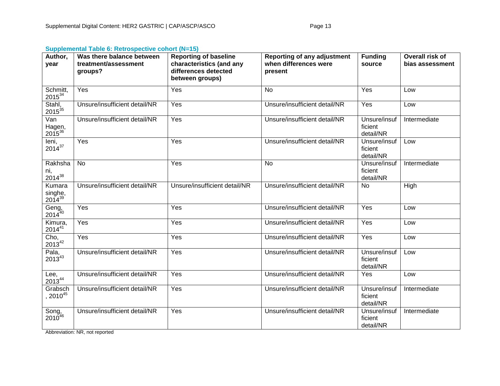# **Supplemental Table 6: Retrospective cohort (N=15)**

| Author,<br>year                     | Was there balance between<br>treatment/assessment<br>groups? | <b>Reporting of baseline</b><br>characteristics (and any<br>differences detected<br>between groups) | <b>Reporting of any adjustment</b><br>when differences were<br>present | <b>Funding</b><br>source             | Overall risk of<br>bias assessment |
|-------------------------------------|--------------------------------------------------------------|-----------------------------------------------------------------------------------------------------|------------------------------------------------------------------------|--------------------------------------|------------------------------------|
| Schmitt,<br>$2015^{34}$             | Yes                                                          | Yes                                                                                                 | <b>No</b>                                                              | Yes                                  | Low                                |
| Stahl,<br>2015 <sup>35</sup>        | Unsure/insufficient detail/NR                                | Yes                                                                                                 | Unsure/insufficient detail/NR                                          | Yes                                  | Low                                |
| Van<br>Hagen,<br>2015 <sup>36</sup> | Unsure/insufficient detail/NR                                | Yes                                                                                                 | Unsure/insufficient detail/NR                                          | Unsure/insuf<br>ficient<br>detail/NR | Intermediate                       |
| leni,<br>$2014^{37}$                | Yes                                                          | Yes                                                                                                 | Unsure/insufficient detail/NR                                          | Unsure/insuf<br>ficient<br>detail/NR | Low                                |
| Rakhsha<br>ni,<br>$2014^{38}$       | <b>No</b>                                                    | Yes                                                                                                 | No                                                                     | Unsure/insuf<br>ficient<br>detail/NR | Intermediate                       |
| Kumara<br>singhe,<br>$2014^{39}$    | Unsure/insufficient detail/NR                                | Unsure/insufficient detail/NR                                                                       | Unsure/insufficient detail/NR                                          | No                                   | High                               |
| Geng,<br>2014 <sup>40</sup>         | Yes                                                          | Yes                                                                                                 | Unsure/insufficient detail/NR                                          | Yes                                  | Low                                |
| Kimura,<br>$2014^{41}$              | Yes                                                          | Yes                                                                                                 | Unsure/insufficient detail/NR                                          | Yes                                  | Low                                |
| $Cho, 2013^{42}$                    | Yes                                                          | Yes                                                                                                 | Unsure/insufficient detail/NR                                          | Yes                                  | Low                                |
| Pala,<br>$2013^{43}$                | Unsure/insufficient detail/NR                                | Yes                                                                                                 | Unsure/insufficient detail/NR                                          | Unsure/insuf<br>ficient<br>detail/NR | Low                                |
| Lee,<br>$2013^{44}$                 | Unsure/insufficient detail/NR                                | Yes                                                                                                 | Unsure/insufficient detail/NR                                          | Yes                                  | Low                                |
| Grabsch<br>$2010^{45}$              | Unsure/insufficient detail/NR                                | Yes                                                                                                 | Unsure/insufficient detail/NR                                          | Unsure/insuf<br>ficient<br>detail/NR | Intermediate                       |
| Song,<br>2010 <sup>46</sup>         | Unsure/insufficient detail/NR                                | Yes                                                                                                 | Unsure/insufficient detail/NR                                          | Unsure/insuf<br>ficient<br>detail/NR | Intermediate                       |

Abbreviation: NR, not reported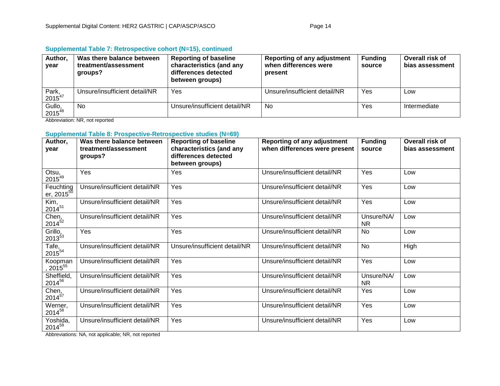| Author,<br>year              | Was there balance between<br>treatment/assessment<br>qroups? | <b>Reporting of baseline</b><br>characteristics (and any<br>differences detected<br>between groups) | <b>Reporting of any adjustment</b><br>when differences were<br>present | <b>Funding</b><br>source | Overall risk of<br>bias assessment |
|------------------------------|--------------------------------------------------------------|-----------------------------------------------------------------------------------------------------|------------------------------------------------------------------------|--------------------------|------------------------------------|
| Park,<br>$2015^{47}$         | Unsure/insufficient detail/NR                                | Yes                                                                                                 | Unsure/insufficient detail/NR                                          | Yes                      | LOW                                |
| Gullo,<br>2015 <sup>48</sup> | <b>No</b>                                                    | Unsure/insufficient detail/NR                                                                       | No.                                                                    | Yes                      | Intermediate                       |

# **Supplemental Table 7: Retrospective cohort (N=15), continued**

Abbreviation: NR, not reported

# **Supplemental Table 8: Prospective-Retrospective studies (N=69)**

| Author,<br>year                                    | Was there balance between<br>treatment/assessment<br>groups? | <b>Reporting of baseline</b><br>characteristics (and any<br>differences detected<br>between groups) | <b>Reporting of any adjustment</b><br>when differences were present | <b>Funding</b><br>source | Overall risk of<br>bias assessment |
|----------------------------------------------------|--------------------------------------------------------------|-----------------------------------------------------------------------------------------------------|---------------------------------------------------------------------|--------------------------|------------------------------------|
| Otsu,<br>$2015^{49}$                               | Yes                                                          | Yes                                                                                                 | Unsure/insufficient detail/NR                                       | Yes                      | Low                                |
| Feuchting<br><u>er, 2015<math>^{\rm 50}</math></u> | Unsure/insufficient detail/NR                                | Yes                                                                                                 | Unsure/insufficient detail/NR                                       | Yes                      | Low                                |
| Kim,<br>$2014^{51}$                                | Unsure/insufficient detail/NR                                | Yes                                                                                                 | Unsure/insufficient detail/NR                                       | Yes                      | Low                                |
| Chen,<br>$2014^{52}$                               | Unsure/insufficient detail/NR                                | Yes                                                                                                 | Unsure/insufficient detail/NR                                       | Unsure/NA/<br><b>NR</b>  | Low                                |
| Grillo,<br>$2013^{53}$                             | Yes                                                          | Yes                                                                                                 | Unsure/insufficient detail/NR                                       | <b>No</b>                | Low                                |
| Tafe,<br>$2015^{54}$                               | Unsure/insufficient detail/NR                                | Unsure/insufficient detail/NR                                                                       | Unsure/insufficient detail/NR                                       | No                       | High                               |
| Koopman<br>$\frac{2015^{55}}{2015^{55}}$           | Unsure/insufficient detail/NR                                | Yes                                                                                                 | Unsure/insufficient detail/NR                                       | Yes                      | Low                                |
| Sheffield,<br>201456                               | Unsure/insufficient detail/NR                                | Yes                                                                                                 | Unsure/insufficient detail/NR                                       | Unsure/NA/<br><b>NR</b>  | Low                                |
| Chen,<br>$2014^{57}$                               | Unsure/insufficient detail/NR                                | Yes                                                                                                 | Unsure/insufficient detail/NR                                       | Yes                      | Low                                |
| Werner,<br>201458                                  | Unsure/insufficient detail/NR                                | Yes                                                                                                 | Unsure/insufficient detail/NR                                       | Yes                      | Low                                |
| Yoshida,<br>201459                                 | Unsure/insufficient detail/NR                                | Yes                                                                                                 | Unsure/insufficient detail/NR                                       | Yes                      | Low                                |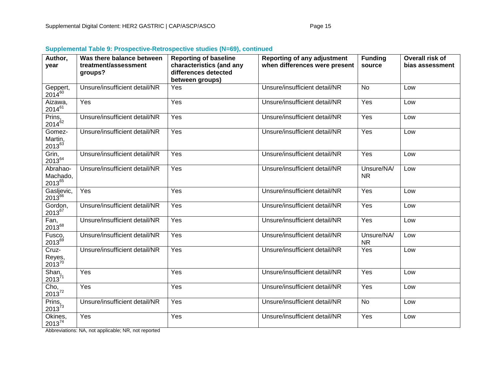| Author,<br>vear                            | Was there balance between<br>treatment/assessment<br>groups? | <b>Reporting of baseline</b><br>characteristics (and any<br>differences detected<br>between groups) | <b>Reporting of any adjustment</b><br>when differences were present | <b>Funding</b><br>source | Overall risk of<br>bias assessment |
|--------------------------------------------|--------------------------------------------------------------|-----------------------------------------------------------------------------------------------------|---------------------------------------------------------------------|--------------------------|------------------------------------|
| Geppert,<br>2014 <sup>60</sup>             | Unsure/insufficient detail/NR                                | Yes                                                                                                 | Unsure/insufficient detail/NR                                       | <b>No</b>                | Low                                |
| Aizawa,<br>$2014^{61}$                     | Yes                                                          | Yes                                                                                                 | Unsure/insufficient detail/NR                                       | Yes                      | Low                                |
| Prins, $2014^{62}$                         | Unsure/insufficient detail/NR                                | Yes                                                                                                 | Unsure/insufficient detail/NR                                       | Yes                      | Low                                |
| Gomez-<br>Martin,<br>$2013^{63}$           | Unsure/insufficient detail/NR                                | Yes                                                                                                 | Unsure/insufficient detail/NR                                       | Yes                      | Low                                |
| Grin,<br>201364                            | Unsure/insufficient detail/NR                                | Yes                                                                                                 | Unsure/insufficient detail/NR                                       | Yes                      | Low                                |
| Abrahao-<br>Machado,<br>2013 <sup>65</sup> | Unsure/insufficient detail/NR                                | Yes                                                                                                 | Unsure/insufficient detail/NR                                       | Unsure/NA/<br><b>NR</b>  | Low                                |
| Gasljevic,<br>$2013^{66}$                  | Yes                                                          | Yes                                                                                                 | Unsure/insufficient detail/NR                                       | Yes                      | Low                                |
| Gordon,<br>$2013^{67}$                     | Unsure/insufficient detail/NR                                | Yes                                                                                                 | Unsure/insufficient detail/NR                                       | Yes                      | Low                                |
| Fan,<br>201368                             | Unsure/insufficient detail/NR                                | Yes                                                                                                 | Unsure/insufficient detail/NR                                       | Yes                      | Low                                |
| Fusco,<br>$2013^{69}$                      | Unsure/insufficient detail/NR                                | Yes                                                                                                 | Unsure/insufficient detail/NR                                       | Unsure/NA/<br><b>NR</b>  | Low                                |
| Cruz-<br>Reyes,<br>2013 <sup>70</sup>      | Unsure/insufficient detail/NR                                | Yes                                                                                                 | Unsure/insufficient detail/NR                                       | Yes                      | Low                                |
| Shan,<br>2013 <sup>71</sup>                | Yes                                                          | Yes                                                                                                 | Unsure/insufficient detail/NR                                       | Yes                      | Low                                |
| $\frac{\text{Cho}}{2013^{72}}$             | Yes                                                          | Yes                                                                                                 | Unsure/insufficient detail/NR                                       | Yes                      | Low                                |
| Prins,<br>2013 <sup>73</sup>               | Unsure/insufficient detail/NR                                | Yes                                                                                                 | Unsure/insufficient detail/NR                                       | <b>No</b>                | Low                                |
| Okines,<br>$2013^{74}$                     | Yes                                                          | Yes                                                                                                 | Unsure/insufficient detail/NR                                       | Yes                      | Low                                |

# **Supplemental Table 9: Prospective-Retrospective studies (N=69), continued**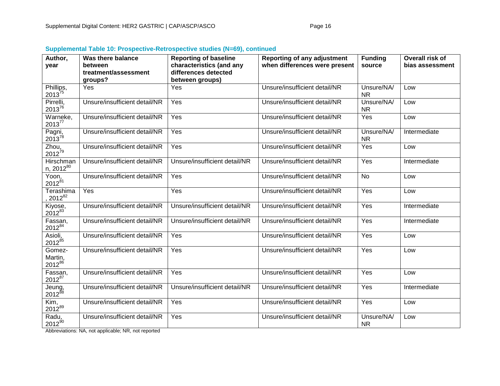| Author,                                 | <b>Was there balance</b>        | <b>Reporting of baseline</b>  | <b>Reporting of any adjustment</b> | <b>Funding</b>          | Overall risk of |
|-----------------------------------------|---------------------------------|-------------------------------|------------------------------------|-------------------------|-----------------|
| vear                                    | between                         | characteristics (and any      | when differences were present      | source                  | bias assessment |
|                                         | treatment/assessment<br>groups? | differences detected          |                                    |                         |                 |
|                                         | Yes                             | between groups)<br>Yes        | Unsure/insufficient detail/NR      | Unsure/NA/              | Low             |
| Phillips, $2013^{75}$                   |                                 |                               |                                    | <b>NR</b>               |                 |
| Pirrelli,<br>$2013^{76}$                | Unsure/insufficient detail/NR   | Yes                           | Unsure/insufficient detail/NR      | Unsure/NA/<br><b>NR</b> | Low             |
| Warneke,<br>201377                      | Unsure/insufficient detail/NR   | Yes                           | Unsure/insufficient detail/NR      | Yes                     | Low             |
| Pagni,<br>2013 <sup>78</sup>            | Unsure/insufficient detail/NR   | Yes                           | Unsure/insufficient detail/NR      | Unsure/NA/<br><b>NR</b> | Intermediate    |
| $\frac{\text{Zhou}}{2012^{79}}$         | Unsure/insufficient detail/NR   | Yes                           | Unsure/insufficient detail/NR      | Yes                     | Low             |
| Hirschman<br>n, 201280                  | Unsure/insufficient detail/NR   | Unsure/insufficient detail/NR | Unsure/insufficient detail/NR      | Yes                     | Intermediate    |
| Yoon,<br>$2012^{81}$                    | Unsure/insufficient detail/NR   | Yes                           | Unsure/insufficient detail/NR      | <b>No</b>               | Low             |
| Terashima<br>2012 <sup>82</sup>         | Yes                             | Yes                           | Unsure/insufficient detail/NR      | Yes                     | Low             |
| Kiyose,<br>2012 <sup>83</sup>           | Unsure/insufficient detail/NR   | Unsure/insufficient detail/NR | Unsure/insufficient detail/NR      | Yes                     | Intermediate    |
| Fassan, $2012^{84}$                     | Unsure/insufficient detail/NR   | Unsure/insufficient detail/NR | Unsure/insufficient detail/NR      | Yes                     | Intermediate    |
| Asioli,<br>$2012^{85}$                  | Unsure/insufficient detail/NR   | Yes                           | Unsure/insufficient detail/NR      | Yes                     | Low             |
| Gomez-<br>Martin,<br>2012 <sup>86</sup> | Unsure/insufficient detail/NR   | Yes                           | Unsure/insufficient detail/NR      | Yes                     | Low             |
| Fassan, $2012^{87}$                     | Unsure/insufficient detail/NR   | Yes                           | Unsure/insufficient detail/NR      | Yes                     | Low             |
| Jeung,<br>2012 <sup>88</sup>            | Unsure/insufficient detail/NR   | Unsure/insufficient detail/NR | Unsure/insufficient detail/NR      | Yes                     | Intermediate    |
| Kim,<br>$2012^{89}$                     | Unsure/insufficient detail/NR   | Yes                           | Unsure/insufficient detail/NR      | Yes                     | Low             |
| Radu,<br>$2012^{90}$                    | Unsure/insufficient detail/NR   | Yes                           | Unsure/insufficient detail/NR      | Unsure/NA/<br><b>NR</b> | Low             |

# **Supplemental Table 10: Prospective-Retrospective studies (N=69), continued**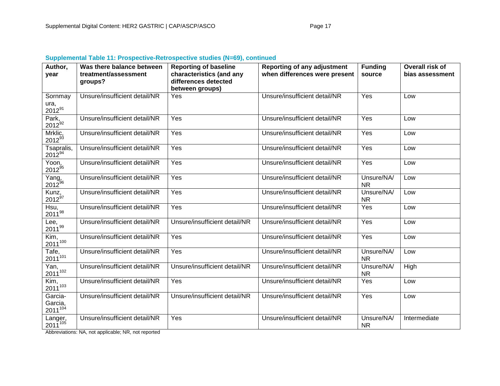| Author,<br>year                           | Was there balance between<br>treatment/assessment<br>groups? | <b>Reporting of baseline</b><br>characteristics (and any<br>differences detected | <b>Reporting of any adjustment</b><br>when differences were present | <b>Funding</b><br>source | Overall risk of<br>bias assessment |
|-------------------------------------------|--------------------------------------------------------------|----------------------------------------------------------------------------------|---------------------------------------------------------------------|--------------------------|------------------------------------|
|                                           |                                                              | between groups)                                                                  |                                                                     |                          |                                    |
| Sornmay<br>ura,<br>$2012^{91}$            | Unsure/insufficient detail/NR                                | Yes                                                                              | Unsure/insufficient detail/NR                                       | Yes                      | Low                                |
| Park,<br>$2012^{92}$                      | Unsure/insufficient detail/NR                                | Yes                                                                              | Unsure/insufficient detail/NR                                       | Yes                      | Low                                |
| Mrklic,<br>$2012^{93}$                    | Unsure/insufficient detail/NR                                | Yes                                                                              | Unsure/insufficient detail/NR                                       | Yes                      | Low                                |
| Tsapralis,<br>201294                      | Unsure/insufficient detail/NR                                | Yes                                                                              | Unsure/insufficient detail/NR                                       | Yes                      | Low                                |
| $\overline{Y}$ oon,<br>$2012^{95}$        | Unsure/insufficient detail/NR                                | Yes                                                                              | Unsure/insufficient detail/NR                                       | Yes                      | Low                                |
| Yang,<br>2012 <sup>96</sup>               | Unsure/insufficient detail/NR                                | Yes                                                                              | Unsure/insufficient detail/NR                                       | Unsure/NA/<br><b>NR</b>  | Low                                |
| Kunz,<br>$2012^{97}$                      | Unsure/insufficient detail/NR                                | Yes                                                                              | Unsure/insufficient detail/NR                                       | Unsure/NA/<br><b>NR</b>  | Low                                |
| Hsu,<br>$2011^{98}$                       | Unsure/insufficient detail/NR                                | Yes                                                                              | Unsure/insufficient detail/NR                                       | Yes                      | Low                                |
| Lee,<br>$2011^{99}$                       | Unsure/insufficient detail/NR                                | Unsure/insufficient detail/NR                                                    | Unsure/insufficient detail/NR                                       | Yes                      | Low                                |
| Kim,<br>$2011^{100}$                      | Unsure/insufficient detail/NR                                | Yes                                                                              | Unsure/insufficient detail/NR                                       | Yes                      | Low                                |
| $\overline{T}$ afe,<br>$2011^{101}$       | Unsure/insufficient detail/NR                                | Yes                                                                              | Unsure/insufficient detail/NR                                       | Unsure/NA/<br><b>NR</b>  | Low                                |
| $\overline{Y}$ an,<br>$2011^{102}$        | Unsure/insufficient detail/NR                                | Unsure/insufficient detail/NR                                                    | Unsure/insufficient detail/NR                                       | Unsure/NA/<br><b>NR</b>  | High                               |
| Kim,<br>$2011^{103}$                      | Unsure/insufficient detail/NR                                | Yes                                                                              | Unsure/insufficient detail/NR                                       | Yes                      | Low                                |
| Garcia-<br>Garcia,<br>2011 <sup>104</sup> | Unsure/insufficient detail/NR                                | Unsure/insufficient detail/NR                                                    | Unsure/insufficient detail/NR                                       | Yes                      | Low                                |
| Langer,<br>$2011^{105}$                   | Unsure/insufficient detail/NR                                | Yes                                                                              | Unsure/insufficient detail/NR                                       | Unsure/NA/<br><b>NR</b>  | Intermediate                       |

# **Supplemental Table 11: Prospective-Retrospective studies (N=69), continued**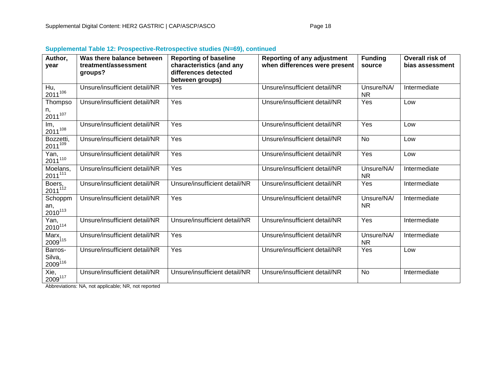| Author,<br>year                       | Was there balance between<br>treatment/assessment | <b>Reporting of baseline</b><br>characteristics (and any | <b>Reporting of any adjustment</b><br>when differences were present | <b>Funding</b><br>source | Overall risk of<br>bias assessment |
|---------------------------------------|---------------------------------------------------|----------------------------------------------------------|---------------------------------------------------------------------|--------------------------|------------------------------------|
|                                       | groups?                                           | differences detected                                     |                                                                     |                          |                                    |
|                                       |                                                   | between groups)                                          |                                                                     |                          |                                    |
| Hu,<br>$2011^{106}$                   | Unsure/insufficient detail/NR                     | Yes                                                      | Unsure/insufficient detail/NR                                       | Unsure/NA/<br><b>NR</b>  | Intermediate                       |
| Thompso                               | Unsure/insufficient detail/NR                     | Yes                                                      | Unsure/insufficient detail/NR                                       | Yes                      | Low                                |
| n,<br>$2011^{107}$                    |                                                   |                                                          |                                                                     |                          |                                    |
| Im,<br>$2011^{108}$                   | Unsure/insufficient detail/NR                     | Yes                                                      | Unsure/insufficient detail/NR                                       | Yes                      | Low                                |
| Bozzetti,<br>2011 <sup>109</sup>      | Unsure/insufficient detail/NR                     | Yes                                                      | Unsure/insufficient detail/NR                                       | <b>No</b>                | Low                                |
| Yan,<br>$2011^{110}$                  | Unsure/insufficient detail/NR                     | Yes                                                      | Unsure/insufficient detail/NR                                       | Yes                      | Low                                |
| Moelans,<br>2011 <sup>111</sup>       | Unsure/insufficient detail/NR                     | Yes                                                      | Unsure/insufficient detail/NR                                       | Unsure/NA/<br><b>NR</b>  | Intermediate                       |
| Boers,<br>2011 <sup>112</sup>         | Unsure/insufficient detail/NR                     | Unsure/insufficient detail/NR                            | Unsure/insufficient detail/NR                                       | Yes                      | Intermediate                       |
| Schoppm<br>an,<br>2010 <sup>113</sup> | Unsure/insufficient detail/NR                     | Yes                                                      | Unsure/insufficient detail/NR                                       | Unsure/NA/<br><b>NR</b>  | Intermediate                       |
| Yan,<br>2010 <sup>114</sup>           | Unsure/insufficient detail/NR                     | Unsure/insufficient detail/NR                            | Unsure/insufficient detail/NR                                       | Yes                      | Intermediate                       |
| Marx,<br>2009115                      | Unsure/insufficient detail/NR                     | Yes                                                      | Unsure/insufficient detail/NR                                       | Unsure/NA/<br><b>NR</b>  | Intermediate                       |
| Barros-<br>Silva,<br>$2009^{116}$     | Unsure/insufficient detail/NR                     | Yes                                                      | Unsure/insufficient detail/NR                                       | Yes                      | Low                                |
| Xie,<br>2009117                       | Unsure/insufficient detail/NR                     | Unsure/insufficient detail/NR                            | Unsure/insufficient detail/NR                                       | <b>No</b>                | Intermediate                       |

# **Supplemental Table 12: Prospective-Retrospective studies (N=69), continued**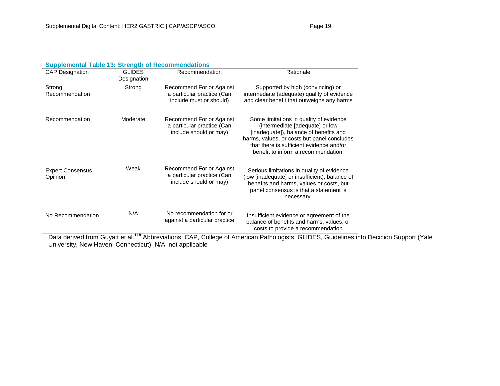| <b>CAP Designation</b>             | <b>GLIDES</b><br>Designation | Recommendation                                                                    | Rationale                                                                                                                                                                                                                                              |
|------------------------------------|------------------------------|-----------------------------------------------------------------------------------|--------------------------------------------------------------------------------------------------------------------------------------------------------------------------------------------------------------------------------------------------------|
| Strong<br>Recommendation           | Strong                       | Recommend For or Against<br>a particular practice (Can<br>include must or should) | Supported by high (convincing) or<br>intermediate (adequate) quality of evidence<br>and clear benefit that outweighs any harms                                                                                                                         |
| Recommendation                     | Moderate                     | Recommend For or Against<br>a particular practice (Can<br>include should or may)  | Some limitations in quality of evidence<br>(intermediate [adequate] or low<br>[inadequate]), balance of benefits and<br>harms, values, or costs but panel concludes<br>that there is sufficient evidence and/or<br>benefit to inform a recommendation. |
| <b>Expert Consensus</b><br>Opinion | Weak                         | Recommend For or Against<br>a particular practice (Can<br>include should or may)  | Serious limitations in quality of evidence<br>(low [inadequate] or insufficient), balance of<br>benefits and harms, values or costs, but<br>panel consensus is that a statement is<br>necessary.                                                       |
| No Recommendation                  | N/A                          | No recommendation for or<br>against a particular practice                         | Insufficient evidence or agreement of the<br>balance of benefits and harms, values, or<br>costs to provide a recommendation                                                                                                                            |

Data derived from Guyatt et al.**<sup>118</sup>** Abbreviations: CAP, College of American Pathologists; GLIDES, Guidelines into Decicion Support (Yale University, New Haven, Connecticut); N/A, not applicable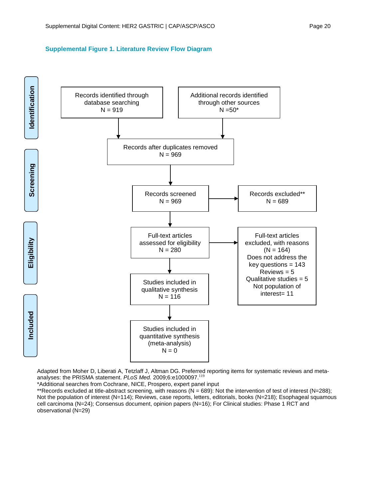#### **Supplemental Figure 1. Literature Review Flow Diagram**



Adapted from Moher D, Liberati A, Tetzlaff J, Altman DG. Preferred reporting items for systematic reviews and metaanalyses: the PRISMA statement. *PLoS Med.* 2009;6:e1000097.<sup>119</sup>

\*Additional searches from Cochrane, NICE, Prospero, expert panel input

\*\*Records excluded at title-abstract screening, with reasons ( $N = 689$ ): Not the intervention of test of interest ( $N = 288$ ); Not the population of interest (N=114); Reviews, case reports, letters, editorials, books (N=218); Esophageal squamous cell carcinoma (N=24); Consensus document, opinion papers (N=16); For Clinical studies: Phase 1 RCT and observational (N=29)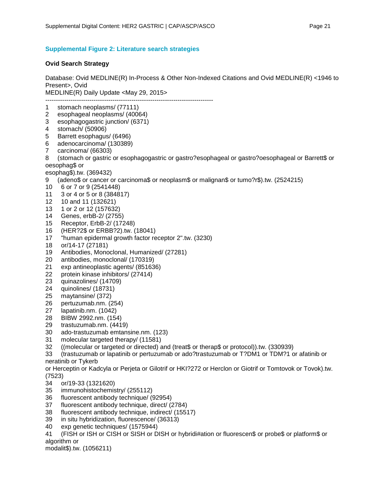#### **Supplemental Figure 2: Literature search strategies**

#### **Ovid Search Strategy**

Database: Ovid MEDLINE(R) In-Process & Other Non-Indexed Citations and Ovid MEDLINE(R) <1946 to Present>, Ovid MEDLINE(R) Daily Update <May 29, 2015> -------------------------------------------------------------------------------- 1 stomach neoplasms/ (77111)<br>2 esophageal neoplasms/ (400) esophageal neoplasms/ (40064) 3 esophagogastric junction/ (6371) 4 stomach/ (50906)<br>5 Barrett esophagus 5 Barrett esophagus/ (6496) 6 adenocarcinoma/ (130389) 7 carcinoma/ (66303) 8 (stomach or gastric or esophagogastric or gastro?esophageal or gastro?oesophageal or Barrett\$ or oesophag\$ or esophag\$).tw. (369432) 9 (adeno\$ or cancer or carcinoma\$ or neoplasm\$ or malignan\$ or tumo?r\$).tw. (2524215) 10 6 or 7 or 9 (2541448) 11 3 or 4 or 5 or 8 (384817) 12 10 and 11 (132621) 13 1 or 2 or 12 (157632) 14 Genes, erbB-2/ (2755) 15 Receptor, ErbB-2/ (17248) 16 (HER?2\$ or ERBB?2).tw. (18041) 17 "human epidermal growth factor receptor 2".tw. (3230) 18 or/14-17 (27181) 19 Antibodies, Monoclonal, Humanized/ (27281) 20 antibodies, monoclonal/ (170319) 21 exp antineoplastic agents/ (851636) 22 protein kinase inhibitors/ (27414) 23 quinazolines/ (14709) 24 quinolines/ (18731) 25 maytansine/ (372) 26 pertuzumab.nm. (254) 27 lapatinib.nm. (1042) 28 BIBW 2992.nm. (154) 29 trastuzumab.nm. (4419) 30 ado-trastuzumab emtansine.nm. (123) 31 molecular targeted therapy/ (11581) 32 ((molecular or targeted or directed) and (treat\$ or therap\$ or protocol)).tw. (330939) 33 (trastuzumab or lapatinib or pertuzumab or ado?trastuzumab or T?DM1 or TDM?1 or afatinib or neratinib or Tykerb or Herceptin or Kadcyla or Perjeta or Gilotrif or HKI?272 or Herclon or Giotrif or Tomtovok or Tovok).tw. (7523)

- 34 or/19-33 (1321620)
- 35 immunohistochemistry/ (255112)
- 36 fluorescent antibody technique/ (92954)
- 37 fluorescent antibody technique, direct/ (2784)
- 38 fluorescent antibody technique, indirect/ (15517)
- 39 in situ hybridization, fluorescence/ (36313)
- 40 exp genetic techniques/ (1575944)

41 (FISH or ISH or CISH or SISH or DISH or hybridi#ation or fluorescen\$ or probe\$ or platform\$ or algorithm or

modalit\$).tw. (1056211)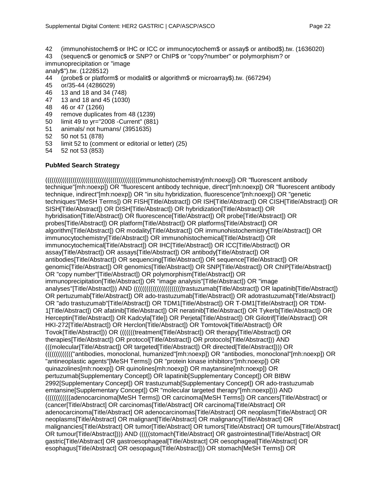- 42 (immunohistochem\$ or IHC or ICC or immunocytochem\$ or assay\$ or antibod\$).tw. (1636020)
- 43 (sequenc\$ or genomic\$ or SNP? or ChIP\$ or "copy?number" or polymorphism? or
- immunoprecipitation or "image
- analy\$").tw. (1228512)
- 44 (probe\$ or platform\$ or modalit\$ or algorithm\$ or microarray\$).tw. (667294)
- 45 or/35-44 (4286029)
- 46 13 and 18 and 34 (748)
- 47 13 and 18 and 45 (1030)
- 48 46 or 47 (1266)
- 49 remove duplicates from 48 (1239)
- 50 limit 49 to yr="2008 -Current" (881)
- 51 animals/ not humans/ (3951635)
- 52 50 not 51 (878)
- 53 limit 52 to (comment or editorial or letter) (25)
- 54 52 not 53 (853)

## **PubMed Search Strategy**

(((((((((((((((((((((((((((((((((((((((((((((immunohistochemistry[mh:noexp]) OR "fluorescent antibody technique"[mh:noexp]) OR "fluorescent antibody technique, direct"[mh:noexp]) OR "fluorescent antibody technique, indirect"[mh:noexp]) OR "in situ hybridization, fluorescence"[mh:noexp]) OR "genetic techniques"[MeSH Terms]) OR FISH[Title/Abstract]) OR ISH[Title/Abstract]) OR CISH[Title/Abstract]) OR SISH[Title/Abstract]) OR DISH[Title/Abstract]) OR hybridization[Title/Abstract]) OR hybridisation[Title/Abstract]) OR fluorescence[Title/Abstract]) OR probe[Title/Abstract]) OR probes[Title/Abstract]) OR platform[Title/Abstract]) OR platforms[Title/Abstract]) OR algorithm[Title/Abstract]) OR modality[Title/Abstract]) OR immunohistochemistry[Title/Abstract]) OR immunocytochemistry[Title/Abstract]) OR immunohistochemical[Title/Abstract]) OR immunocytochemical[Title/Abstract]) OR IHC[Title/Abstract]) OR ICC[Title/Abstract]) OR assay[Title/Abstract]) OR assays[Title/Abstract]) OR antibody[Title/Abstract]) OR antibodies[Title/Abstract]) OR sequencing[Title/Abstract]) OR sequence[Title/Abstract]) OR genomic[Title/Abstract]) OR genomics[Title/Abstract]) OR SNP[Title/Abstract]) OR ChIP[Title/Abstract]) OR "copy number"[Title/Abstract]) OR polymorphism[Title/Abstract]) OR immunoprecipitation[Title/Abstract]) OR "image analysis"[Title/Abstract]) OR "image analyses"[Title/Abstract])) AND ((((((((((((((((((((((((((trastuzumab[Title/Abstract]) OR lapatinib[Title/Abstract]) OR pertuzumab[Title/Abstract]) OR ado-trastuzumab[Title/Abstract]) OR adotrastuzumab[Title/Abstract]) OR "ado trastuzumab"[Title/Abstract]) OR TDM1[Title/Abstract]) OR T-DM1[Title/Abstract]) OR TDM-1[Title/Abstract]) OR afatinib[Title/Abstract]) OR neratinib[Title/Abstract]) OR Tykerb[Title/Abstract]) OR Herceptin[Title/Abstract]) OR Kadcyla[Title]) OR Perjeta[Title/Abstract]) OR Gilotrif[Title/Abstract]) OR HKI-272[Title/Abstract]) OR Herclon[Title/Abstract]) OR Tomtovok[Title/Abstract]) OR Tovok[Title/Abstract])) OR (((((((treatment[Title/Abstract]) OR therapy[Title/Abstract]) OR therapies[Title/Abstract]) OR protocol[Title/Abstract]) OR protocols[Title/Abstract])) AND (((molecular[Title/Abstract]) OR targeted[Title/Abstract]) OR directed[Title/Abstract]))) OR ((((((((((((("antibodies, monoclonal, humanized"[mh:noexp]) OR "antibodies, monoclonal"[mh:noexp]) OR "antineoplastic agents"[MeSH Terms]) OR "protein kinase inhibitors"[mh:noexp]) OR quinazolines[mh:noexp]) OR quinolines[mh:noexp]) OR maytansine[mh:noexp]) OR pertuzumab[Supplementary Concept]) OR lapatinib[Supplementary Concept]) OR BIBW 2992[Supplementary Concept]) OR trastuzumab[Supplementary Concept]) OR ado-trastuzumab emtansine[Supplementary Concept]) OR "molecular targeted therapy"[mh:noexp]))) AND ((((((((((((adenocarcinoma[MeSH Terms]) OR carcinoma[MeSH Terms]) OR cancers[Title/Abstract] or (cancer[Title/Abstract] OR carcinomas[Title/Abstract] OR carcinoma[Title/Abstract] OR adenocarcinoma[Title/Abstract] OR adenocarcinomas[Title/Abstract] OR neoplasm[Title/Abstract] OR neoplasms[Title/Abstract] OR malignant[Title/Abstract] OR malignancy[Title/Abstract] OR malignancies[Title/Abstract] OR tumor[Title/Abstract] OR tumors[Title/Abstract] OR tumours[Title/Abstract] OR tumour[Title/Abstract]))) AND (((((stomach[Title/Abstract] OR gastrointestinal[Title/Abstract] OR gastric[Title/Abstract] OR gastroesophageal[Title/Abstract] OR oesophageal[Title/Abstract] OR esophagus[Title/Abstract] OR oesopagus[Title/Abstract])) OR stomach[MeSH Terms]) OR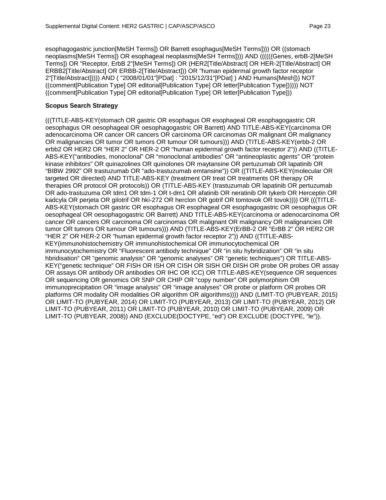esophagogastric junction[MeSH Terms]) OR Barrett esophagus[MeSH Terms]))) OR ((stomach neoplasms[MeSH Terms]) OR esophageal neoplasms[MeSH Terms]))) AND ((((((Genes, erbB-2[MeSH Terms]) OR "Receptor, ErbB 2"[MeSH Terms]) OR (HER2[Title/Abstract] OR HER-2[Title/Abstract] OR ERBB2[Title/Abstract] OR ERBB-2[Title/Abstract])) OR "human epidermal growth factor receptor 2"[Title/Abstract])))) AND ( "2008/01/01"[PDat] : "2015/12/31"[PDat] ) AND Humans[Mesh])) NOT ((comment[Publication Type] OR editorial[Publication Type] OR letter[Publication Type]))))) NOT ((comment[Publication Type] OR editorial[Publication Type] OR letter[Publication Type]))

## **Scopus Search Strategy**

(((TITLE-ABS-KEY(stomach OR gastric OR esophagus OR esophageal OR esophagogastric OR oesophagus OR oesophageal OR oesophagogastric OR Barrett) AND TITLE-ABS-KEY(carcinoma OR adenocarcinoma OR cancer OR cancers OR carcinoma OR carcinomas OR malignant OR malignancy OR malignancies OR tumor OR tumors OR tumour OR tumours))) AND (TITLE-ABS-KEY(erbb-2 OR erbb2 OR HER2 OR "HER 2" OR HER-2 OR "human epidermal growth factor receptor 2")) AND ((TITLE-ABS-KEY("antibodies, monoclonal" OR "monoclonal antibodies" OR "antineoplastic agents" OR "protein kinase inhibitors" OR quinazolines OR quinolones OR maytansine OR pertuzumab OR lapatinib OR "BIBW 2992" OR trastuzumab OR "ado-trastuzumab emtansine")) OR ((TITLE-ABS-KEY(molecular OR targeted OR directed) AND TITLE-ABS-KEY (treatment OR treat OR treatments OR therapy OR therapies OR protocol OR protocols)) OR (TITLE-ABS-KEY (trastuzumab OR lapatinib OR pertuzumab OR ado-trastuzuma OR tdm1 OR tdm-1 OR t-dm1 OR afatinib OR neratinib OR tykerb OR Herceptin OR kadcyla OR perjeta OR gilotrif OR hki-272 OR herclon OR gotrif OR tomtovok OR tovok)))) OR (((TITLE-ABS-KEY(stomach OR gastric OR esophagus OR esophageal OR esophagogastric OR oesophagus OR oesophageal OR oesophagogastric OR Barrett) AND TITLE-ABS-KEY(carcinoma or adenocarcinoma OR cancer OR cancers OR carcinoma OR carcinomas OR malignant OR malignancy OR malignancies OR tumor OR tumors OR tumour OR tumours))) AND (TITLE-ABS-KEY(ErBB-2 OR "ErBB 2" OR HER2 OR "HER 2" OR HER-2 OR "human epidermal growth factor receptor 2")) AND ((TITLE-ABS-KEY(immunohistochemistry OR immunohistochemical OR immunocytochemical OR immunocytochemistry OR "Fluorescent antibody technique" OR "in situ hybridization" OR "in situ hbridisation" OR "genomic analysis" OR "genomic analyses" OR "genetic techniques") OR TITLE-ABS-KEY("genetic technique" OR FISH OR ISH OR CISH OR SISH OR DISH OR probe OR probes OR assay OR assays OR antibody OR antibodies OR IHC OR ICC) OR TITLE-ABS-KEY(sequence OR sequences OR sequencing OR genomics OR SNP OR CHIP OR "copy number" OR polymorphism OR immunoprecipitation OR "image analysis" OR "image analyses" OR probe or platform OR probes OR platforms OR modality OR modalities OR algorithm OR algorithms)))) AND (LIMIT-TO (PUBYEAR, 2015) OR LIMIT-TO (PUBYEAR, 2014) OR LIMIT-TO (PUBYEAR, 2013) OR LIMIT-TO (PUBYEAR, 2012) OR LIMIT-TO (PUBYEAR, 2011) OR LIMIT-TO (PUBYEAR, 2010) OR LIMIT-TO (PUBYEAR, 2009) OR LIMIT-TO (PUBYEAR, 2008)) AND (EXCLUDE(DOCTYPE, "ed") OR EXCLUDE (DOCTYPE, "le")).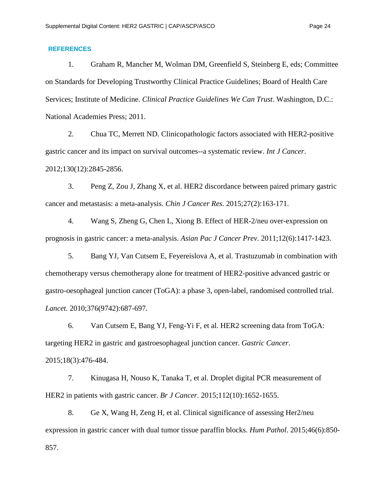# **REFERENCES**

1. Graham R, Mancher M, Wolman DM, Greenfield S, Steinberg E, eds; Committee on Standards for Developing Trustworthy Clinical Practice Guidelines; Board of Health Care Services; Institute of Medicine. *Clinical Practice Guidelines We Can Trust*. Washington, D.C.: National Academies Press; 2011.

2. Chua TC, Merrett ND. Clinicopathologic factors associated with HER2-positive gastric cancer and its impact on survival outcomes--a systematic review. *Int J Cancer*. 2012;130(12):2845-2856.

3. Peng Z, Zou J, Zhang X, et al. HER2 discordance between paired primary gastric cancer and metastasis: a meta-analysis. *Chin J Cancer Res*. 2015;27(2):163-171.

4. Wang S, Zheng G, Chen L, Xiong B. Effect of HER-2/neu over-expression on prognosis in gastric cancer: a meta-analysis. *Asian Pac J Cancer Prev*. 2011;12(6):1417-1423.

5. Bang YJ, Van Cutsem E, Feyereislova A, et al. Trastuzumab in combination with chemotherapy versus chemotherapy alone for treatment of HER2-positive advanced gastric or gastro-oesophageal junction cancer (ToGA): a phase 3, open-label, randomised controlled trial. *Lancet*. 2010;376(9742):687-697.

6. Van Cutsem E, Bang YJ, Feng-Yi F, et al. HER2 screening data from ToGA: targeting HER2 in gastric and gastroesophageal junction cancer. *Gastric Cancer*. 2015;18(3):476-484.

7. Kinugasa H, Nouso K, Tanaka T, et al. Droplet digital PCR measurement of HER2 in patients with gastric cancer. *Br J Cancer*. 2015;112(10):1652-1655.

8. Ge X, Wang H, Zeng H, et al. Clinical significance of assessing Her2/neu expression in gastric cancer with dual tumor tissue paraffin blocks. *Hum Pathol*. 2015;46(6):850- 857.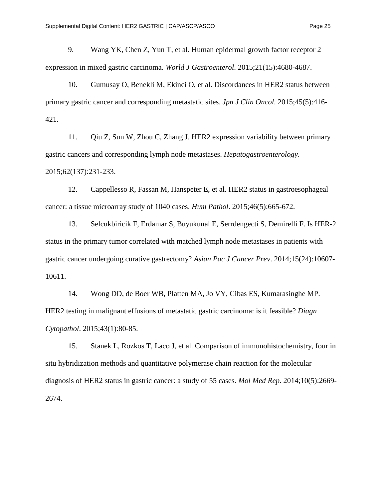9. Wang YK, Chen Z, Yun T, et al. Human epidermal growth factor receptor 2 expression in mixed gastric carcinoma. *World J Gastroenterol*. 2015;21(15):4680-4687.

10. Gumusay O, Benekli M, Ekinci O, et al. Discordances in HER2 status between primary gastric cancer and corresponding metastatic sites. *Jpn J Clin Oncol*. 2015;45(5):416- 421.

11. Qiu Z, Sun W, Zhou C, Zhang J. HER2 expression variability between primary gastric cancers and corresponding lymph node metastases. *Hepatogastroenterology*. 2015;62(137):231-233.

12. Cappellesso R, Fassan M, Hanspeter E, et al. HER2 status in gastroesophageal cancer: a tissue microarray study of 1040 cases. *Hum Pathol*. 2015;46(5):665-672.

13. Selcukbiricik F, Erdamar S, Buyukunal E, Serrdengecti S, Demirelli F. Is HER-2 status in the primary tumor correlated with matched lymph node metastases in patients with gastric cancer undergoing curative gastrectomy? *Asian Pac J Cancer Prev*. 2014;15(24):10607- 10611.

14. Wong DD, de Boer WB, Platten MA, Jo VY, Cibas ES, Kumarasinghe MP. HER2 testing in malignant effusions of metastatic gastric carcinoma: is it feasible? *Diagn Cytopathol*. 2015;43(1):80-85.

15. Stanek L, Rozkos T, Laco J, et al. Comparison of immunohistochemistry, four in situ hybridization methods and quantitative polymerase chain reaction for the molecular diagnosis of HER2 status in gastric cancer: a study of 55 cases. *Mol Med Rep*. 2014;10(5):2669- 2674.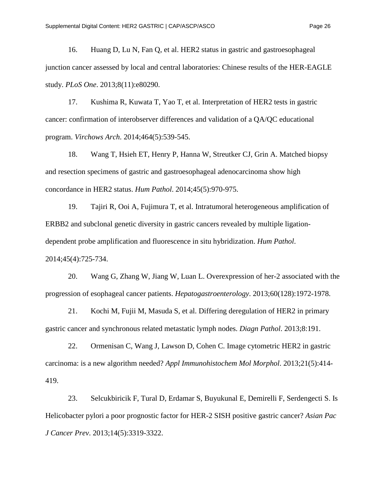16. Huang D, Lu N, Fan Q, et al. HER2 status in gastric and gastroesophageal junction cancer assessed by local and central laboratories: Chinese results of the HER-EAGLE study. *PLoS One*. 2013;8(11):e80290.

17. Kushima R, Kuwata T, Yao T, et al. Interpretation of HER2 tests in gastric cancer: confirmation of interobserver differences and validation of a QA/QC educational program. *Virchows Arch*. 2014;464(5):539-545.

18. Wang T, Hsieh ET, Henry P, Hanna W, Streutker CJ, Grin A. Matched biopsy and resection specimens of gastric and gastroesophageal adenocarcinoma show high concordance in HER2 status. *Hum Pathol*. 2014;45(5):970-975.

19. Tajiri R, Ooi A, Fujimura T, et al. Intratumoral heterogeneous amplification of ERBB2 and subclonal genetic diversity in gastric cancers revealed by multiple ligationdependent probe amplification and fluorescence in situ hybridization. *Hum Pathol*. 2014;45(4):725-734.

20. Wang G, Zhang W, Jiang W, Luan L. Overexpression of her-2 associated with the progression of esophageal cancer patients. *Hepatogastroenterology*. 2013;60(128):1972-1978.

21. Kochi M, Fujii M, Masuda S, et al. Differing deregulation of HER2 in primary gastric cancer and synchronous related metastatic lymph nodes. *Diagn Pathol*. 2013;8:191.

22. Ormenisan C, Wang J, Lawson D, Cohen C. Image cytometric HER2 in gastric carcinoma: is a new algorithm needed? *Appl Immunohistochem Mol Morphol*. 2013;21(5):414- 419.

23. Selcukbiricik F, Tural D, Erdamar S, Buyukunal E, Demirelli F, Serdengecti S. Is Helicobacter pylori a poor prognostic factor for HER-2 SISH positive gastric cancer? *Asian Pac J Cancer Prev*. 2013;14(5):3319-3322.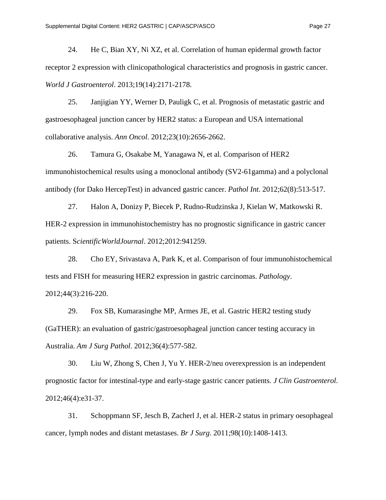24. He C, Bian XY, Ni XZ, et al. Correlation of human epidermal growth factor receptor 2 expression with clinicopathological characteristics and prognosis in gastric cancer. *World J Gastroenterol*. 2013;19(14):2171-2178.

25. Janjigian YY, Werner D, Pauligk C, et al. Prognosis of metastatic gastric and gastroesophageal junction cancer by HER2 status: a European and USA international collaborative analysis. *Ann Oncol*. 2012;23(10):2656-2662.

26. Tamura G, Osakabe M, Yanagawa N, et al. Comparison of HER2 immunohistochemical results using a monoclonal antibody (SV2-61gamma) and a polyclonal antibody (for Dako HercepTest) in advanced gastric cancer. *Pathol Int*. 2012;62(8):513-517.

27. Halon A, Donizy P, Biecek P, Rudno-Rudzinska J, Kielan W, Matkowski R. HER-2 expression in immunohistochemistry has no prognostic significance in gastric cancer patients. S*cientificWorldJournal*. 2012;2012:941259.

28. Cho EY, Srivastava A, Park K, et al. Comparison of four immunohistochemical tests and FISH for measuring HER2 expression in gastric carcinomas. *Pathology*. 2012;44(3):216-220.

29. Fox SB, Kumarasinghe MP, Armes JE, et al. Gastric HER2 testing study (GaTHER): an evaluation of gastric/gastroesophageal junction cancer testing accuracy in Australia. *Am J Surg Pathol*. 2012;36(4):577-582.

30. Liu W, Zhong S, Chen J, Yu Y. HER-2/neu overexpression is an independent prognostic factor for intestinal-type and early-stage gastric cancer patients. *J Clin Gastroenterol*. 2012;46(4):e31-37.

31. Schoppmann SF, Jesch B, Zacherl J, et al. HER-2 status in primary oesophageal cancer, lymph nodes and distant metastases. *Br J Surg*. 2011;98(10):1408-1413.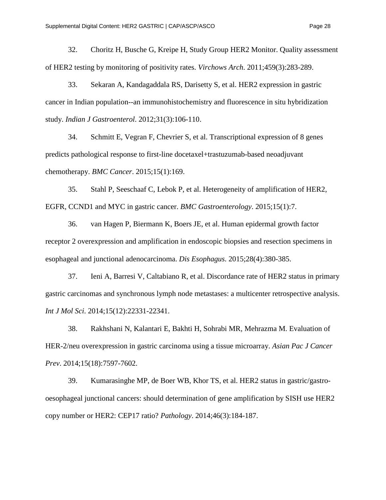32. Choritz H, Busche G, Kreipe H, Study Group HER2 Monitor. Quality assessment of HER2 testing by monitoring of positivity rates. *Virchows Arch*. 2011;459(3):283-289.

33. Sekaran A, Kandagaddala RS, Darisetty S, et al. HER2 expression in gastric cancer in Indian population--an immunohistochemistry and fluorescence in situ hybridization study. *Indian J Gastroenterol*. 2012;31(3):106-110.

34. Schmitt E, Vegran F, Chevrier S, et al. Transcriptional expression of 8 genes predicts pathological response to first-line docetaxel+trastuzumab-based neoadjuvant chemotherapy. *BMC Cancer*. 2015;15(1):169.

35. Stahl P, Seeschaaf C, Lebok P, et al. Heterogeneity of amplification of HER2, EGFR, CCND1 and MYC in gastric cancer. *BMC Gastroenterology*. 2015;15(1):7.

36. van Hagen P, Biermann K, Boers JE, et al. Human epidermal growth factor receptor 2 overexpression and amplification in endoscopic biopsies and resection specimens in esophageal and junctional adenocarcinoma. *Dis Esophagus*. 2015;28(4):380-385.

37. Ieni A, Barresi V, Caltabiano R, et al. Discordance rate of HER2 status in primary gastric carcinomas and synchronous lymph node metastases: a multicenter retrospective analysis. *Int J Mol Sci*. 2014;15(12):22331-22341.

38. Rakhshani N, Kalantari E, Bakhti H, Sohrabi MR, Mehrazma M. Evaluation of HER-2/neu overexpression in gastric carcinoma using a tissue microarray. *Asian Pac J Cancer Prev*. 2014;15(18):7597-7602.

39. Kumarasinghe MP, de Boer WB, Khor TS, et al. HER2 status in gastric/gastrooesophageal junctional cancers: should determination of gene amplification by SISH use HER2 copy number or HER2: CEP17 ratio? *Pathology*. 2014;46(3):184-187.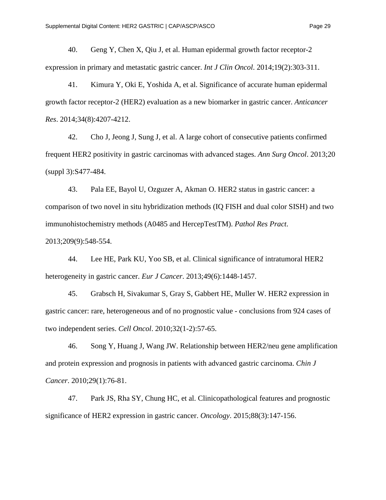40. Geng Y, Chen X, Qiu J, et al. Human epidermal growth factor receptor-2 expression in primary and metastatic gastric cancer. *Int J Clin Oncol*. 2014;19(2):303-311.

41. Kimura Y, Oki E, Yoshida A, et al. Significance of accurate human epidermal growth factor receptor-2 (HER2) evaluation as a new biomarker in gastric cancer. *Anticancer Res*. 2014;34(8):4207-4212.

42. Cho J, Jeong J, Sung J, et al. A large cohort of consecutive patients confirmed frequent HER2 positivity in gastric carcinomas with advanced stages. *Ann Surg Oncol*. 2013;20 (suppl 3):S477-484.

43. Pala EE, Bayol U, Ozguzer A, Akman O. HER2 status in gastric cancer: a comparison of two novel in situ hybridization methods (IQ FISH and dual color SISH) and two immunohistochemistry methods (A0485 and HercepTestTM). *Pathol Res Pract*. 2013;209(9):548-554.

44. Lee HE, Park KU, Yoo SB, et al. Clinical significance of intratumoral HER2 heterogeneity in gastric cancer. *Eur J Cancer*. 2013;49(6):1448-1457.

45. Grabsch H, Sivakumar S, Gray S, Gabbert HE, Muller W. HER2 expression in gastric cancer: rare, heterogeneous and of no prognostic value - conclusions from 924 cases of two independent series. *Cell Oncol*. 2010;32(1-2):57-65.

46. Song Y, Huang J, Wang JW. Relationship between HER2/neu gene amplification and protein expression and prognosis in patients with advanced gastric carcinoma. *Chin J Cancer*. 2010;29(1):76-81.

47. Park JS, Rha SY, Chung HC, et al. Clinicopathological features and prognostic significance of HER2 expression in gastric cancer. *Oncology*. 2015;88(3):147-156.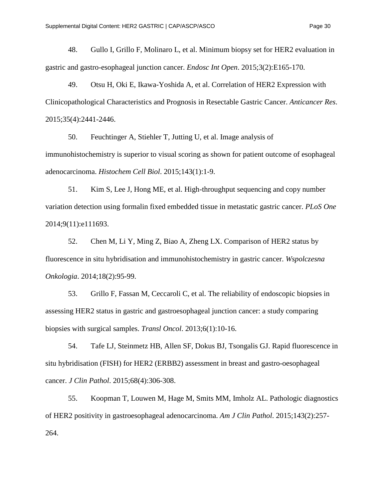48. Gullo I, Grillo F, Molinaro L, et al. Minimum biopsy set for HER2 evaluation in gastric and gastro-esophageal junction cancer. *Endosc Int Open*. 2015;3(2):E165-170.

49. Otsu H, Oki E, Ikawa-Yoshida A, et al. Correlation of HER2 Expression with Clinicopathological Characteristics and Prognosis in Resectable Gastric Cancer. *Anticancer Res*. 2015;35(4):2441-2446.

50. Feuchtinger A, Stiehler T, Jutting U, et al. Image analysis of immunohistochemistry is superior to visual scoring as shown for patient outcome of esophageal adenocarcinoma. *Histochem Cell Biol*. 2015;143(1):1-9.

51. Kim S, Lee J, Hong ME, et al. High-throughput sequencing and copy number variation detection using formalin fixed embedded tissue in metastatic gastric cancer. *PLoS One*  2014;9(11):e111693.

52. Chen M, Li Y, Ming Z, Biao A, Zheng LX. Comparison of HER2 status by fluorescence in situ hybridisation and immunohistochemistry in gastric cancer. *Wspolczesna Onkologia*. 2014;18(2):95-99.

53. Grillo F, Fassan M, Ceccaroli C, et al. The reliability of endoscopic biopsies in assessing HER2 status in gastric and gastroesophageal junction cancer: a study comparing biopsies with surgical samples. *Transl Oncol*. 2013;6(1):10-16.

54. Tafe LJ, Steinmetz HB, Allen SF, Dokus BJ, Tsongalis GJ. Rapid fluorescence in situ hybridisation (FISH) for HER2 (ERBB2) assessment in breast and gastro-oesophageal cancer. *J Clin Pathol*. 2015;68(4):306-308.

55. Koopman T, Louwen M, Hage M, Smits MM, Imholz AL. Pathologic diagnostics of HER2 positivity in gastroesophageal adenocarcinoma. *Am J Clin Pathol*. 2015;143(2):257- 264.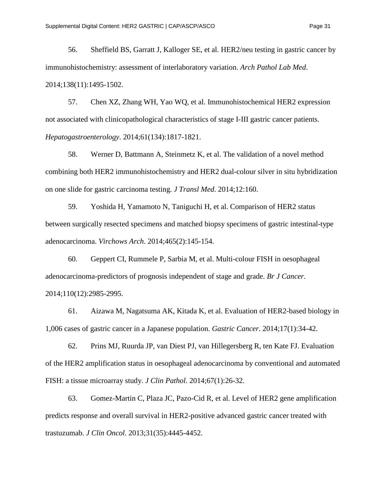56. Sheffield BS, Garratt J, Kalloger SE, et al. HER2/neu testing in gastric cancer by immunohistochemistry: assessment of interlaboratory variation. *Arch Pathol Lab Med*. 2014;138(11):1495-1502.

57. Chen XZ, Zhang WH, Yao WQ, et al. Immunohistochemical HER2 expression not associated with clinicopathological characteristics of stage I-III gastric cancer patients. *Hepatogastroenterology*. 2014;61(134):1817-1821.

58. Werner D, Battmann A, Steinmetz K, et al. The validation of a novel method combining both HER2 immunohistochemistry and HER2 dual-colour silver in situ hybridization on one slide for gastric carcinoma testing. *J Transl Med*. 2014;12:160.

59. Yoshida H, Yamamoto N, Taniguchi H, et al. Comparison of HER2 status between surgically resected specimens and matched biopsy specimens of gastric intestinal-type adenocarcinoma. *Virchows Arch*. 2014;465(2):145-154.

60. Geppert CI, Rummele P, Sarbia M, et al. Multi-colour FISH in oesophageal adenocarcinoma-predictors of prognosis independent of stage and grade. *Br J Cancer*. 2014;110(12):2985-2995.

61. Aizawa M, Nagatsuma AK, Kitada K, et al. Evaluation of HER2-based biology in 1,006 cases of gastric cancer in a Japanese population. *Gastric Cancer*. 2014;17(1):34-42.

62. Prins MJ, Ruurda JP, van Diest PJ, van Hillegersberg R, ten Kate FJ. Evaluation of the HER2 amplification status in oesophageal adenocarcinoma by conventional and automated FISH: a tissue microarray study. *J Clin Pathol*. 2014;67(1):26-32.

63. Gomez-Martin C, Plaza JC, Pazo-Cid R, et al. Level of HER2 gene amplification predicts response and overall survival in HER2-positive advanced gastric cancer treated with trastuzumab. *J Clin Oncol*. 2013;31(35):4445-4452.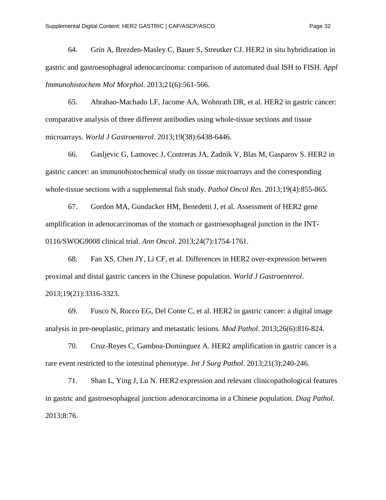64. Grin A, Brezden-Masley C, Bauer S, Streutker CJ. HER2 in situ hybridization in gastric and gastroesophageal adenocarcinoma: comparison of automated dual ISH to FISH. *Appl Immunohistochem Mol Morphol*. 2013;21(6):561-566.

65. Abrahao-Machado LF, Jacome AA, Wohnrath DR, et al. HER2 in gastric cancer: comparative analysis of three different antibodies using whole-tissue sections and tissue microarrays. *World J Gastroenterol*. 2013;19(38):6438-6446.

66. Gasljevic G, Lamovec J, Contreras JA, Zadnik V, Blas M, Gasparov S. HER2 in gastric cancer: an immunohistochemical study on tissue microarrays and the corresponding whole-tissue sections with a supplemental fish study. *Pathol Oncol Res*. 2013;19(4):855-865.

67. Gordon MA, Gundacker HM, Benedetti J, et al. Assessment of HER2 gene amplification in adenocarcinomas of the stomach or gastroesophageal junction in the INT-0116/SWOG9008 clinical trial. *Ann Oncol*. 2013;24(7):1754-1761.

68. Fan XS, Chen JY, Li CF, et al. Differences in HER2 over-expression between proximal and distal gastric cancers in the Chinese population. *World J Gastroenterol*. 2013;19(21):3316-3323.

69. Fusco N, Rocco EG, Del Conte C, et al. HER2 in gastric cancer: a digital image analysis in pre-neoplastic, primary and metastatic lesions. *Mod Pathol*. 2013;26(6):816-824.

70. Cruz-Reyes C, Gamboa-Dominguez A. HER2 amplification in gastric cancer is a rare event restricted to the intestinal phenotype. *Int J Surg Pathol*. 2013;21(3):240-246.

71. Shan L, Ying J, Lu N. HER2 expression and relevant clinicopathological features in gastric and gastroesophageal junction adenocarcinoma in a Chinese population. *Diag Pathol*. 2013;8:76.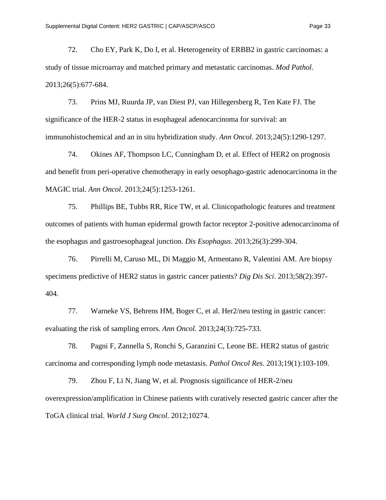72. Cho EY, Park K, Do I, et al. Heterogeneity of ERBB2 in gastric carcinomas: a study of tissue microarray and matched primary and metastatic carcinomas. *Mod Pathol*. 2013;26(5):677-684.

73. Prins MJ, Ruurda JP, van Diest PJ, van Hillegersberg R, Ten Kate FJ. The significance of the HER-2 status in esophageal adenocarcinoma for survival: an immunohistochemical and an in situ hybridization study. *Ann Oncol*. 2013;24(5):1290-1297.

74. Okines AF, Thompson LC, Cunningham D, et al. Effect of HER2 on prognosis and benefit from peri-operative chemotherapy in early oesophago-gastric adenocarcinoma in the MAGIC trial. *Ann Oncol*. 2013;24(5):1253-1261.

75. Phillips BE, Tubbs RR, Rice TW, et al. Clinicopathologic features and treatment outcomes of patients with human epidermal growth factor receptor 2-positive adenocarcinoma of the esophagus and gastroesophageal junction. *Dis Esophagus*. 2013;26(3):299-304.

76. Pirrelli M, Caruso ML, Di Maggio M, Armentano R, Valentini AM. Are biopsy specimens predictive of HER2 status in gastric cancer patients? *Dig Dis Sci*. 2013;58(2):397- 404.

77. Warneke VS, Behrens HM, Boger C, et al. Her2/neu testing in gastric cancer: evaluating the risk of sampling errors. *Ann Oncol*. 2013;24(3):725-733.

78. Pagni F, Zannella S, Ronchi S, Garanzini C, Leone BE. HER2 status of gastric carcinoma and corresponding lymph node metastasis. *Pathol Oncol Res*. 2013;19(1):103-109.

79. Zhou F, Li N, Jiang W, et al. Prognosis significance of HER-2/neu overexpression/amplification in Chinese patients with curatively resected gastric cancer after the ToGA clinical trial. *World J Surg Oncol*. 2012;10274.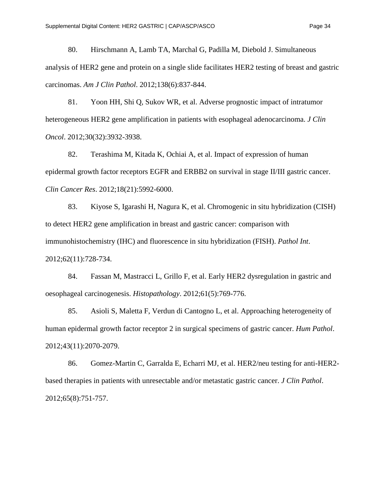80. Hirschmann A, Lamb TA, Marchal G, Padilla M, Diebold J. Simultaneous analysis of HER2 gene and protein on a single slide facilitates HER2 testing of breast and gastric carcinomas. *Am J Clin Pathol*. 2012;138(6):837-844.

81. Yoon HH, Shi Q, Sukov WR, et al. Adverse prognostic impact of intratumor heterogeneous HER2 gene amplification in patients with esophageal adenocarcinoma. *J Clin Oncol*. 2012;30(32):3932-3938.

82. Terashima M, Kitada K, Ochiai A, et al. Impact of expression of human epidermal growth factor receptors EGFR and ERBB2 on survival in stage II/III gastric cancer. *Clin Cancer Res*. 2012;18(21):5992-6000.

83. Kiyose S, Igarashi H, Nagura K, et al. Chromogenic in situ hybridization (CISH) to detect HER2 gene amplification in breast and gastric cancer: comparison with immunohistochemistry (IHC) and fluorescence in situ hybridization (FISH). *Pathol Int*. 2012;62(11):728-734.

84. Fassan M, Mastracci L, Grillo F, et al. Early HER2 dysregulation in gastric and oesophageal carcinogenesis. *Histopathology*. 2012;61(5):769-776.

85. Asioli S, Maletta F, Verdun di Cantogno L, et al. Approaching heterogeneity of human epidermal growth factor receptor 2 in surgical specimens of gastric cancer. *Hum Pathol*. 2012;43(11):2070-2079.

86. Gomez-Martin C, Garralda E, Echarri MJ, et al. HER2/neu testing for anti-HER2 based therapies in patients with unresectable and/or metastatic gastric cancer. *J Clin Pathol*. 2012;65(8):751-757.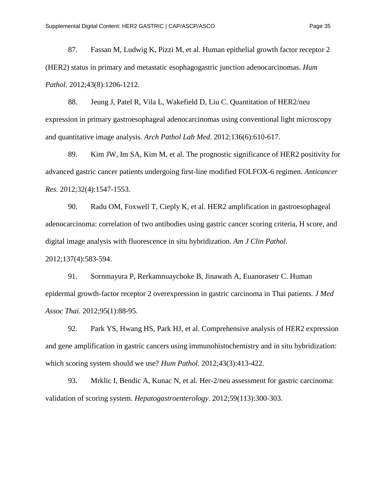87. Fassan M, Ludwig K, Pizzi M, et al. Human epithelial growth factor receptor 2 (HER2) status in primary and metastatic esophagogastric junction adenocarcinomas. *Hum Pathol*. 2012;43(8):1206-1212.

88. Jeung J, Patel R, Vila L, Wakefield D, Liu C. Quantitation of HER2/neu expression in primary gastroesophageal adenocarcinomas using conventional light microscopy and quantitative image analysis. *Arch Pathol Lab Med*. 2012;136(6):610-617.

89. Kim JW, Im SA, Kim M, et al. The prognostic significance of HER2 positivity for advanced gastric cancer patients undergoing first-line modified FOLFOX-6 regimen. *Anticancer Res*. 2012;32(4):1547-1553.

90. Radu OM, Foxwell T, Cieply K, et al. HER2 amplification in gastroesophageal adenocarcinoma: correlation of two antibodies using gastric cancer scoring criteria, H score, and digital image analysis with fluorescence in situ hybridization. *Am J Clin Pathol*.

2012;137(4):583-594.

91. Sornmayura P, Rerkamnuaychoke B, Jinawath A, Euanorasetr C. Human epidermal growth-factor receptor 2 overexpression in gastric carcinoma in Thai patients. *J Med Assoc Thai*. 2012;95(1):88-95.

92. Park YS, Hwang HS, Park HJ, et al. Comprehensive analysis of HER2 expression and gene amplification in gastric cancers using immunohistochemistry and in situ hybridization: which scoring system should we use? *Hum Pathol*. 2012;43(3):413-422.

93. Mrklic I, Bendic A, Kunac N, et al. Her-2/neu assessment for gastric carcinoma: validation of scoring system. *Hepatogastroenterology*. 2012;59(113):300-303.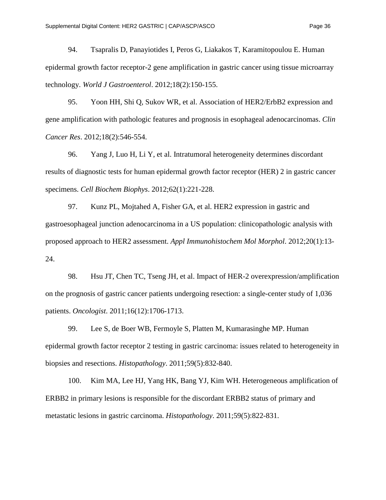94. Tsapralis D, Panayiotides I, Peros G, Liakakos T, Karamitopoulou E. Human epidermal growth factor receptor-2 gene amplification in gastric cancer using tissue microarray technology. *World J Gastroenterol*. 2012;18(2):150-155.

95. Yoon HH, Shi Q, Sukov WR, et al. Association of HER2/ErbB2 expression and gene amplification with pathologic features and prognosis in esophageal adenocarcinomas. *Clin Cancer Res*. 2012;18(2):546-554.

96. Yang J, Luo H, Li Y, et al. Intratumoral heterogeneity determines discordant results of diagnostic tests for human epidermal growth factor receptor (HER) 2 in gastric cancer specimens. *Cell Biochem Biophys*. 2012;62(1):221-228.

97. Kunz PL, Mojtahed A, Fisher GA, et al. HER2 expression in gastric and gastroesophageal junction adenocarcinoma in a US population: clinicopathologic analysis with proposed approach to HER2 assessment. *Appl Immunohistochem Mol Morphol*. 2012;20(1):13- 24.

98. Hsu JT, Chen TC, Tseng JH, et al. Impact of HER-2 overexpression/amplification on the prognosis of gastric cancer patients undergoing resection: a single-center study of 1,036 patients. *Oncologist*. 2011;16(12):1706-1713.

99. Lee S, de Boer WB, Fermoyle S, Platten M, Kumarasinghe MP. Human epidermal growth factor receptor 2 testing in gastric carcinoma: issues related to heterogeneity in biopsies and resections. *Histopathology*. 2011;59(5):832-840.

100. Kim MA, Lee HJ, Yang HK, Bang YJ, Kim WH. Heterogeneous amplification of ERBB2 in primary lesions is responsible for the discordant ERBB2 status of primary and metastatic lesions in gastric carcinoma. *Histopathology*. 2011;59(5):822-831.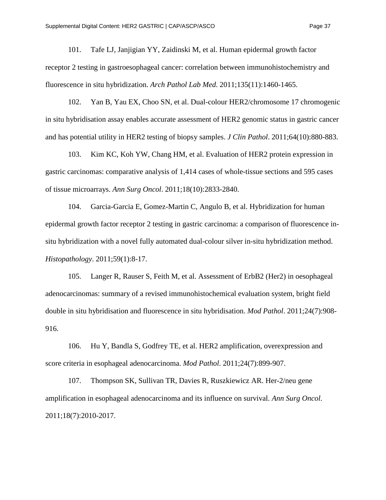101. Tafe LJ, Janjigian YY, Zaidinski M, et al. Human epidermal growth factor receptor 2 testing in gastroesophageal cancer: correlation between immunohistochemistry and fluorescence in situ hybridization. *Arch Pathol Lab Med*. 2011;135(11):1460-1465.

102. Yan B, Yau EX, Choo SN, et al. Dual-colour HER2/chromosome 17 chromogenic in situ hybridisation assay enables accurate assessment of HER2 genomic status in gastric cancer and has potential utility in HER2 testing of biopsy samples. *J Clin Pathol*. 2011;64(10):880-883.

103. Kim KC, Koh YW, Chang HM, et al. Evaluation of HER2 protein expression in gastric carcinomas: comparative analysis of 1,414 cases of whole-tissue sections and 595 cases of tissue microarrays. *Ann Surg Oncol*. 2011;18(10):2833-2840.

104. Garcia-Garcia E, Gomez-Martin C, Angulo B, et al. Hybridization for human epidermal growth factor receptor 2 testing in gastric carcinoma: a comparison of fluorescence insitu hybridization with a novel fully automated dual-colour silver in-situ hybridization method. *Histopathology*. 2011;59(1):8-17.

105. Langer R, Rauser S, Feith M, et al. Assessment of ErbB2 (Her2) in oesophageal adenocarcinomas: summary of a revised immunohistochemical evaluation system, bright field double in situ hybridisation and fluorescence in situ hybridisation. *Mod Pathol*. 2011;24(7):908- 916.

106. Hu Y, Bandla S, Godfrey TE, et al. HER2 amplification, overexpression and score criteria in esophageal adenocarcinoma. *Mod Pathol*. 2011;24(7):899-907.

107. Thompson SK, Sullivan TR, Davies R, Ruszkiewicz AR. Her-2/neu gene amplification in esophageal adenocarcinoma and its influence on survival. *Ann Surg Oncol*. 2011;18(7):2010-2017.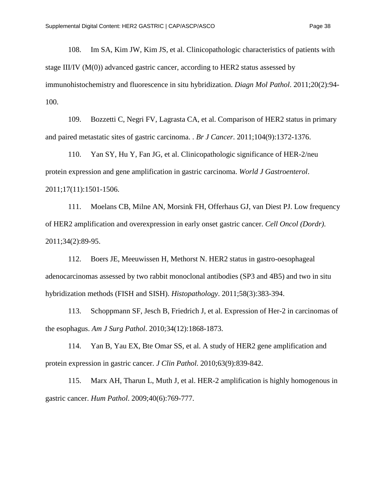108. Im SA, Kim JW, Kim JS, et al. Clinicopathologic characteristics of patients with stage III/IV (M(0)) advanced gastric cancer, according to HER2 status assessed by immunohistochemistry and fluorescence in situ hybridization. *Diagn Mol Pathol*. 2011;20(2):94- 100.

109. Bozzetti C, Negri FV, Lagrasta CA, et al. Comparison of HER2 status in primary and paired metastatic sites of gastric carcinoma. . *Br J Cancer*. 2011;104(9):1372-1376.

110. Yan SY, Hu Y, Fan JG, et al. Clinicopathologic significance of HER-2/neu protein expression and gene amplification in gastric carcinoma. *World J Gastroenterol*. 2011;17(11):1501-1506.

111. Moelans CB, Milne AN, Morsink FH, Offerhaus GJ, van Diest PJ. Low frequency of HER2 amplification and overexpression in early onset gastric cancer. *Cell Oncol (Dordr)*. 2011;34(2):89-95.

112. Boers JE, Meeuwissen H, Methorst N. HER2 status in gastro-oesophageal adenocarcinomas assessed by two rabbit monoclonal antibodies (SP3 and 4B5) and two in situ hybridization methods (FISH and SISH). *Histopathology*. 2011;58(3):383-394.

113. Schoppmann SF, Jesch B, Friedrich J, et al. Expression of Her-2 in carcinomas of the esophagus. *Am J Surg Pathol*. 2010;34(12):1868-1873.

114. Yan B, Yau EX, Bte Omar SS, et al. A study of HER2 gene amplification and protein expression in gastric cancer. *J Clin Pathol*. 2010;63(9):839-842.

115. Marx AH, Tharun L, Muth J, et al. HER-2 amplification is highly homogenous in gastric cancer. *Hum Pathol*. 2009;40(6):769-777.